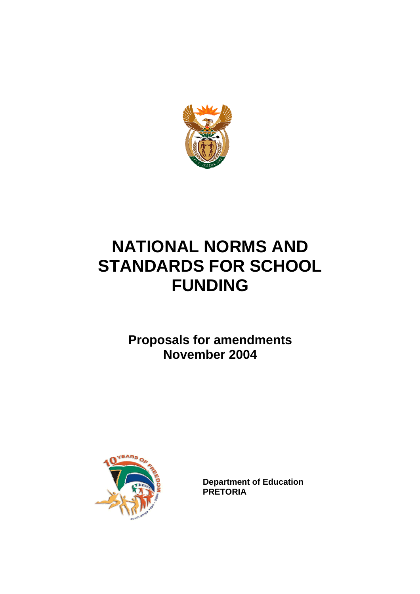

# **NATIONAL NORMS AND STANDARDS FOR SCHOOL FUNDING**

**Proposals for amendments November 2004** 



**Department of Education PRETORIA**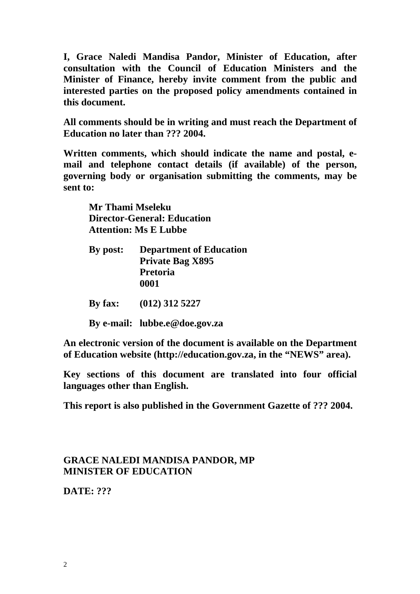**I, Grace Naledi Mandisa Pandor, Minister of Education, after consultation with the Council of Education Ministers and the Minister of Finance, hereby invite comment from the public and interested parties on the proposed policy amendments contained in this document.** 

**All comments should be in writing and must reach the Department of Education no later than ??? 2004.** 

**Written comments, which should indicate the name and postal, email and telephone contact details (if available) of the person, governing body or organisation submitting the comments, may be sent to:** 

 **Mr Thami Mseleku Director-General: Education Attention: Ms E Lubbe** 

| <b>Department of Education</b> |
|--------------------------------|
| <b>Private Bag X895</b>        |
| <b>Pretoria</b>                |
| 0001                           |
|                                |

**By fax: (012) 312 5227** 

**By e-mail: lubbe.e@doe.gov.za**

**An electronic version of the document is available on the Department of Education website (http://education.gov.za, in the "NEWS" area).** 

**Key sections of this document are translated into four official languages other than English.** 

**This report is also published in the Government Gazette of ??? 2004.** 

# **GRACE NALEDI MANDISA PANDOR, MP MINISTER OF EDUCATION**

**DATE: ???**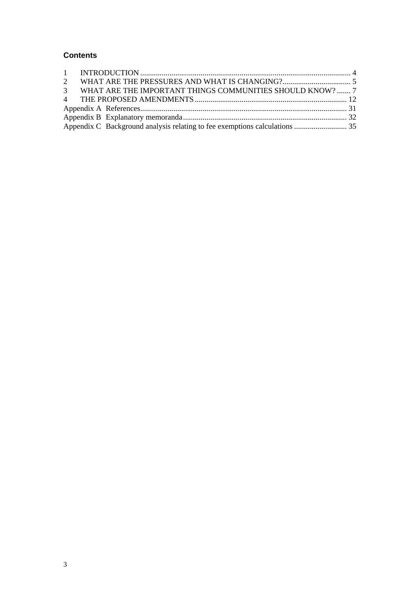## **Contents**

|  | 3 WHAT ARE THE IMPORTANT THINGS COMMUNITIES SHOULD KNOW?  7                |  |
|--|----------------------------------------------------------------------------|--|
|  |                                                                            |  |
|  |                                                                            |  |
|  |                                                                            |  |
|  | Appendix C Background analysis relating to fee exemptions calculations  35 |  |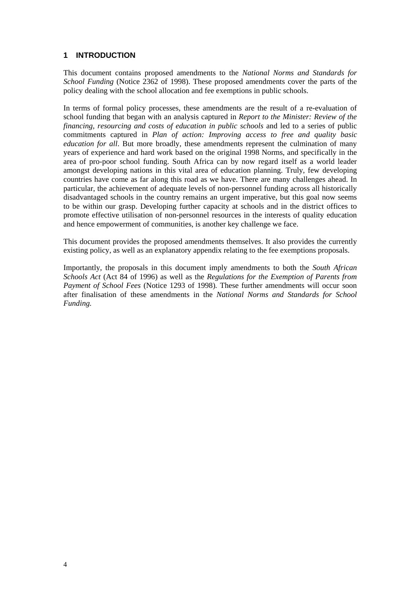## **1 INTRODUCTION**

This document contains proposed amendments to the *National Norms and Standards for School Funding* (Notice 2362 of 1998). These proposed amendments cover the parts of the policy dealing with the school allocation and fee exemptions in public schools.

In terms of formal policy processes, these amendments are the result of a re-evaluation of school funding that began with an analysis captured in *Report to the Minister: Review of the financing, resourcing and costs of education in public schools* and led to a series of public commitments captured in *Plan of action: Improving access to free and quality basic education for all*. But more broadly, these amendments represent the culmination of many years of experience and hard work based on the original 1998 Norms, and specifically in the area of pro-poor school funding. South Africa can by now regard itself as a world leader amongst developing nations in this vital area of education planning. Truly, few developing countries have come as far along this road as we have. There are many challenges ahead. In particular, the achievement of adequate levels of non-personnel funding across all historically disadvantaged schools in the country remains an urgent imperative, but this goal now seems to be within our grasp. Developing further capacity at schools and in the district offices to promote effective utilisation of non-personnel resources in the interests of quality education and hence empowerment of communities, is another key challenge we face.

This document provides the proposed amendments themselves. It also provides the currently existing policy, as well as an explanatory appendix relating to the fee exemptions proposals.

Importantly, the proposals in this document imply amendments to both the *South African Schools Act* (Act 84 of 1996) as well as the *Regulations for the Exemption of Parents from Payment of School Fees* (Notice 1293 of 1998)*.* These further amendments will occur soon after finalisation of these amendments in the *National Norms and Standards for School Funding.*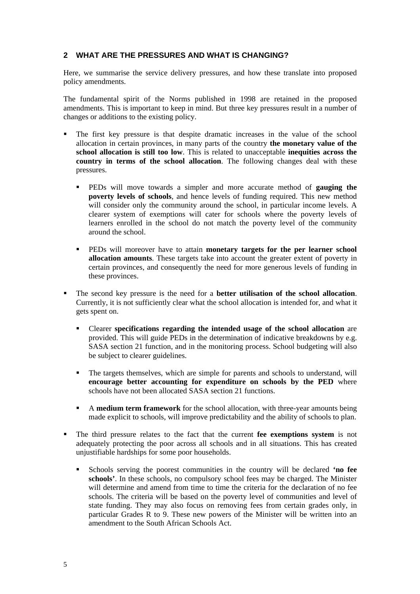## **2 WHAT ARE THE PRESSURES AND WHAT IS CHANGING?**

Here, we summarise the service delivery pressures, and how these translate into proposed policy amendments.

The fundamental spirit of the Norms published in 1998 are retained in the proposed amendments. This is important to keep in mind. But three key pressures result in a number of changes or additions to the existing policy.

- The first key pressure is that despite dramatic increases in the value of the school allocation in certain provinces, in many parts of the country **the monetary value of the school allocation is still too low**. This is related to unacceptable **inequities across the country in terms of the school allocation**. The following changes deal with these pressures.
	- PEDs will move towards a simpler and more accurate method of **gauging the poverty levels of schools**, and hence levels of funding required. This new method will consider only the community around the school, in particular income levels. A clearer system of exemptions will cater for schools where the poverty levels of learners enrolled in the school do not match the poverty level of the community around the school.
	- PEDs will moreover have to attain **monetary targets for the per learner school allocation amounts**. These targets take into account the greater extent of poverty in certain provinces, and consequently the need for more generous levels of funding in these provinces.
- The second key pressure is the need for a **better utilisation of the school allocation**. Currently, it is not sufficiently clear what the school allocation is intended for, and what it gets spent on.
	- Clearer **specifications regarding the intended usage of the school allocation** are provided. This will guide PEDs in the determination of indicative breakdowns by e.g. SASA section 21 function, and in the monitoring process. School budgeting will also be subject to clearer guidelines.
	- The targets themselves, which are simple for parents and schools to understand, will **encourage better accounting for expenditure on schools by the PED** where schools have not been allocated SASA section 21 functions.
	- A **medium term framework** for the school allocation, with three-year amounts being made explicit to schools, will improve predictability and the ability of schools to plan.
- The third pressure relates to the fact that the current **fee exemptions system** is not adequately protecting the poor across all schools and in all situations. This has created unjustifiable hardships for some poor households.
	- Schools serving the poorest communities in the country will be declared **'no fee schools'**. In these schools, no compulsory school fees may be charged. The Minister will determine and amend from time to time the criteria for the declaration of no fee schools. The criteria will be based on the poverty level of communities and level of state funding. They may also focus on removing fees from certain grades only, in particular Grades R to 9. These new powers of the Minister will be written into an amendment to the South African Schools Act.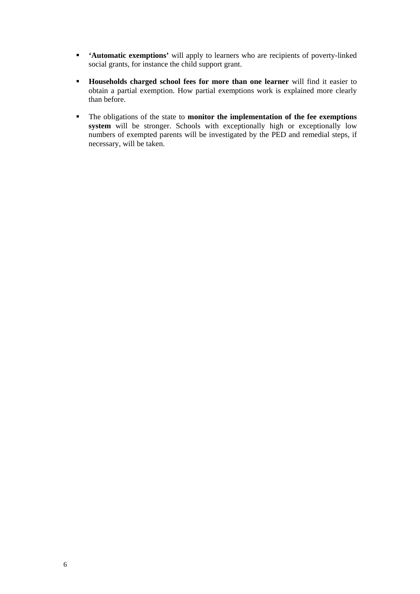- **'Automatic exemptions'** will apply to learners who are recipients of poverty-linked social grants, for instance the child support grant.
- **Households charged school fees for more than one learner** will find it easier to obtain a partial exemption. How partial exemptions work is explained more clearly than before.
- The obligations of the state to **monitor the implementation of the fee exemptions system** will be stronger. Schools with exceptionally high or exceptionally low numbers of exempted parents will be investigated by the PED and remedial steps, if necessary, will be taken.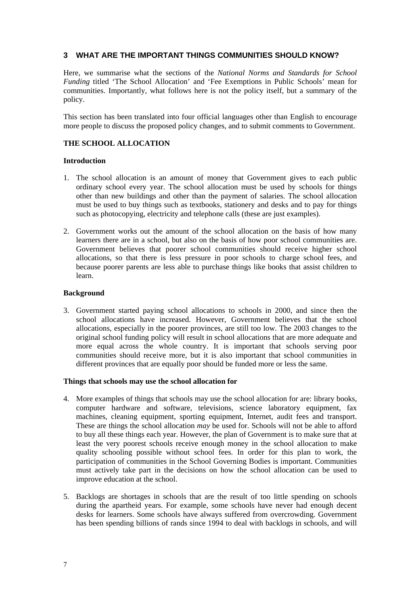## **3 WHAT ARE THE IMPORTANT THINGS COMMUNITIES SHOULD KNOW?**

Here, we summarise what the sections of the *National Norms and Standards for School Funding* titled 'The School Allocation' and 'Fee Exemptions in Public Schools' mean for communities. Importantly, what follows here is not the policy itself, but a summary of the policy.

This section has been translated into four official languages other than English to encourage more people to discuss the proposed policy changes, and to submit comments to Government.

## **THE SCHOOL ALLOCATION**

## **Introduction**

- 1. The school allocation is an amount of money that Government gives to each public ordinary school every year. The school allocation must be used by schools for things other than new buildings and other than the payment of salaries. The school allocation must be used to buy things such as textbooks, stationery and desks and to pay for things such as photocopying, electricity and telephone calls (these are just examples).
- 2. Government works out the amount of the school allocation on the basis of how many learners there are in a school, but also on the basis of how poor school communities are. Government believes that poorer school communities should receive higher school allocations, so that there is less pressure in poor schools to charge school fees, and because poorer parents are less able to purchase things like books that assist children to learn.

## **Background**

3. Government started paying school allocations to schools in 2000, and since then the school allocations have increased. However, Government believes that the school allocations, especially in the poorer provinces, are still too low. The 2003 changes to the original school funding policy will result in school allocations that are more adequate and more equal across the whole country. It is important that schools serving poor communities should receive more, but it is also important that school communities in different provinces that are equally poor should be funded more or less the same.

## **Things that schools may use the school allocation for**

- 4. More examples of things that schools may use the school allocation for are: library books, computer hardware and software, televisions, science laboratory equipment, fax machines, cleaning equipment, sporting equipment, Internet, audit fees and transport. These are things the school allocation *may* be used for. Schools will not be able to afford to buy all these things each year. However, the plan of Government is to make sure that at least the very poorest schools receive enough money in the school allocation to make quality schooling possible without school fees. In order for this plan to work, the participation of communities in the School Governing Bodies is important. Communities must actively take part in the decisions on how the school allocation can be used to improve education at the school.
- 5. Backlogs are shortages in schools that are the result of too little spending on schools during the apartheid years. For example, some schools have never had enough decent desks for learners. Some schools have always suffered from overcrowding. Government has been spending billions of rands since 1994 to deal with backlogs in schools, and will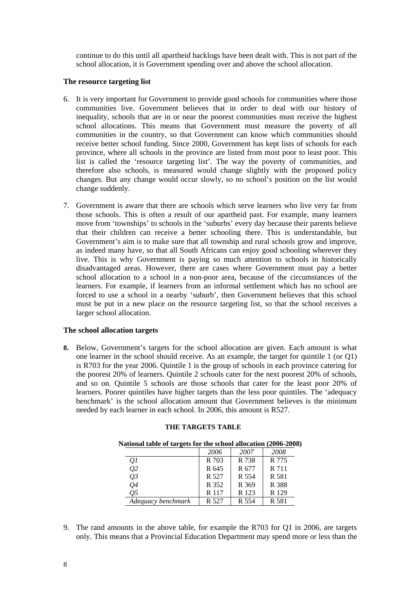continue to do this until all apartheid backlogs have been dealt with. This is not part of the school allocation, it is Government spending over and above the school allocation.

## **The resource targeting list**

- 6. It is very important for Government to provide good schools for communities where those communities live. Government believes that in order to deal with our history of inequality, schools that are in or near the poorest communities must receive the highest school allocations. This means that Government must measure the poverty of all communities in the country, so that Government can know which communities should receive better school funding. Since 2000, Government has kept lists of schools for each province, where all schools in the province are listed from most poor to least poor. This list is called the 'resource targeting list'. The way the poverty of communities, and therefore also schools, is measured would change slightly with the proposed policy changes. But any change would occur slowly, so no school's position on the list would change suddenly.
- 7. Government is aware that there are schools which serve learners who live very far from those schools. This is often a result of our apartheid past. For example, many learners move from 'townships' to schools in the 'suburbs' every day because their parents believe that their children can receive a better schooling there. This is understandable, but Government's aim is to make sure that all township and rural schools grow and improve, as indeed many have, so that all South Africans can enjoy good schooling wherever they live. This is why Government is paying so much attention to schools in historically disadvantaged areas. However, there are cases where Government must pay a better school allocation to a school in a non-poor area, because of the circumstances of the learners. For example, if learners from an informal settlement which has no school are forced to use a school in a nearby 'suburb', then Government believes that this school must be put in a new place on the resource targeting list, so that the school receives a larger school allocation.

## **The school allocation targets**

**8.** Below, Government's targets for the school allocation are given. Each amount is what one learner in the school should receive. As an example, the target for quintile 1 (or Q1) is R703 for the year 2006. Quintile 1 is the group of schools in each province catering for the poorest 20% of learners. Quintile 2 schools cater for the next poorest 20% of schools, and so on. Quintile 5 schools are those schools that cater for the least poor 20% of learners. Poorer quintiles have higher targets than the less poor quintiles. The 'adequacy benchmark' is the school allocation amount that Government believes is the minimum needed by each learner in each school. In 2006, this amount is R527.

| National table of targets for the school allocation (2006-2008) |       |       |       |  |  |  |
|-----------------------------------------------------------------|-------|-------|-------|--|--|--|
|                                                                 | 2006  | 2007  | 2008  |  |  |  |
| 01                                                              | R 703 | R 738 | R 775 |  |  |  |
| Q2                                                              | R 645 | R 677 | R 711 |  |  |  |
| $Q_3$                                                           | R 527 | R 554 | R 581 |  |  |  |
| Q <sub>4</sub>                                                  | R 352 | R 369 | R 388 |  |  |  |
| 05                                                              | R 117 | R 123 | R 129 |  |  |  |
| Adequacy benchmark                                              | R 527 | R 554 | R 581 |  |  |  |

#### **THE TARGETS TABLE**

9. The rand amounts in the above table, for example the R703 for Q1 in 2006, are targets only. This means that a Provincial Education Department may spend more or less than the

8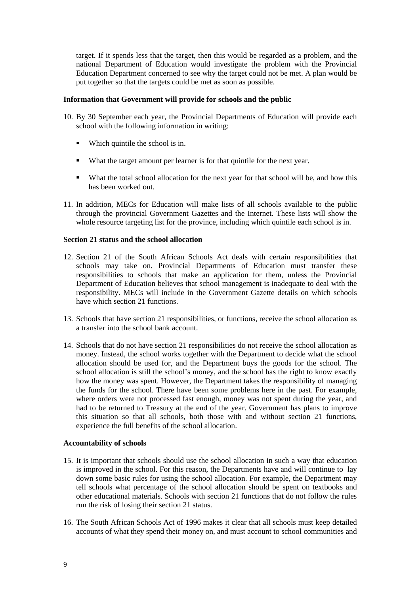target. If it spends less that the target, then this would be regarded as a problem, and the national Department of Education would investigate the problem with the Provincial Education Department concerned to see why the target could not be met. A plan would be put together so that the targets could be met as soon as possible.

## **Information that Government will provide for schools and the public**

- 10. By 30 September each year, the Provincial Departments of Education will provide each school with the following information in writing:
	- Which quintile the school is in.
	- What the target amount per learner is for that quintile for the next year.
	- What the total school allocation for the next year for that school will be, and how this has been worked out.
- 11. In addition, MECs for Education will make lists of all schools available to the public through the provincial Government Gazettes and the Internet. These lists will show the whole resource targeting list for the province, including which quintile each school is in.

#### **Section 21 status and the school allocation**

- 12. Section 21 of the South African Schools Act deals with certain responsibilities that schools may take on. Provincial Departments of Education must transfer these responsibilities to schools that make an application for them, unless the Provincial Department of Education believes that school management is inadequate to deal with the responsibility. MECs will include in the Government Gazette details on which schools have which section 21 functions.
- 13. Schools that have section 21 responsibilities, or functions, receive the school allocation as a transfer into the school bank account.
- 14. Schools that do not have section 21 responsibilities do not receive the school allocation as money. Instead, the school works together with the Department to decide what the school allocation should be used for, and the Department buys the goods for the school. The school allocation is still the school's money, and the school has the right to know exactly how the money was spent. However, the Department takes the responsibility of managing the funds for the school. There have been some problems here in the past. For example, where orders were not processed fast enough, money was not spent during the year, and had to be returned to Treasury at the end of the year. Government has plans to improve this situation so that all schools, both those with and without section 21 functions, experience the full benefits of the school allocation.

#### **Accountability of schools**

- 15. It is important that schools should use the school allocation in such a way that education is improved in the school. For this reason, the Departments have and will continue to lay down some basic rules for using the school allocation. For example, the Department may tell schools what percentage of the school allocation should be spent on textbooks and other educational materials. Schools with section 21 functions that do not follow the rules run the risk of losing their section 21 status.
- 16. The South African Schools Act of 1996 makes it clear that all schools must keep detailed accounts of what they spend their money on, and must account to school communities and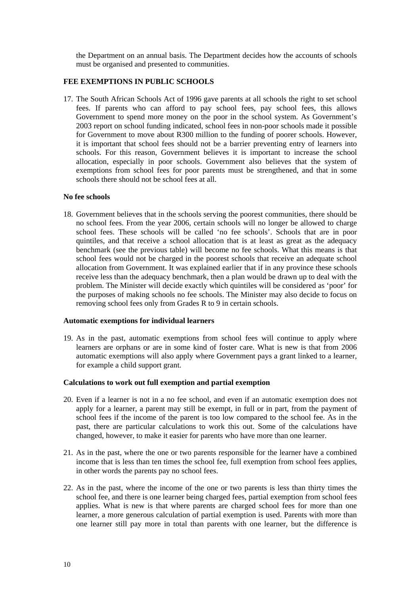the Department on an annual basis. The Department decides how the accounts of schools must be organised and presented to communities.

## **FEE EXEMPTIONS IN PUBLIC SCHOOLS**

17. The South African Schools Act of 1996 gave parents at all schools the right to set school fees. If parents who can afford to pay school fees, pay school fees, this allows Government to spend more money on the poor in the school system. As Government's 2003 report on school funding indicated, school fees in non-poor schools made it possible for Government to move about R300 million to the funding of poorer schools. However, it is important that school fees should not be a barrier preventing entry of learners into schools. For this reason, Government believes it is important to increase the school allocation, especially in poor schools. Government also believes that the system of exemptions from school fees for poor parents must be strengthened, and that in some schools there should not be school fees at all.

## **No fee schools**

18. Government believes that in the schools serving the poorest communities, there should be no school fees. From the year 2006, certain schools will no longer be allowed to charge school fees. These schools will be called 'no fee schools'. Schools that are in poor quintiles, and that receive a school allocation that is at least as great as the adequacy benchmark (see the previous table) will become no fee schools. What this means is that school fees would not be charged in the poorest schools that receive an adequate school allocation from Government. It was explained earlier that if in any province these schools receive less than the adequacy benchmark, then a plan would be drawn up to deal with the problem. The Minister will decide exactly which quintiles will be considered as 'poor' for the purposes of making schools no fee schools. The Minister may also decide to focus on removing school fees only from Grades R to 9 in certain schools.

#### **Automatic exemptions for individual learners**

19. As in the past, automatic exemptions from school fees will continue to apply where learners are orphans or are in some kind of foster care. What is new is that from 2006 automatic exemptions will also apply where Government pays a grant linked to a learner, for example a child support grant.

#### **Calculations to work out full exemption and partial exemption**

- 20. Even if a learner is not in a no fee school, and even if an automatic exemption does not apply for a learner, a parent may still be exempt, in full or in part, from the payment of school fees if the income of the parent is too low compared to the school fee. As in the past, there are particular calculations to work this out. Some of the calculations have changed, however, to make it easier for parents who have more than one learner.
- 21. As in the past, where the one or two parents responsible for the learner have a combined income that is less than ten times the school fee, full exemption from school fees applies, in other words the parents pay no school fees.
- 22. As in the past, where the income of the one or two parents is less than thirty times the school fee, and there is one learner being charged fees, partial exemption from school fees applies. What is new is that where parents are charged school fees for more than one learner, a more generous calculation of partial exemption is used. Parents with more than one learner still pay more in total than parents with one learner, but the difference is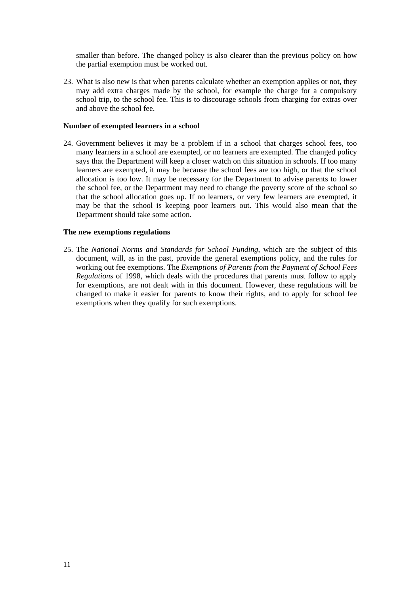smaller than before. The changed policy is also clearer than the previous policy on how the partial exemption must be worked out.

23. What is also new is that when parents calculate whether an exemption applies or not, they may add extra charges made by the school, for example the charge for a compulsory school trip, to the school fee. This is to discourage schools from charging for extras over and above the school fee.

#### **Number of exempted learners in a school**

24. Government believes it may be a problem if in a school that charges school fees, too many learners in a school are exempted, or no learners are exempted. The changed policy says that the Department will keep a closer watch on this situation in schools. If too many learners are exempted, it may be because the school fees are too high, or that the school allocation is too low. It may be necessary for the Department to advise parents to lower the school fee, or the Department may need to change the poverty score of the school so that the school allocation goes up. If no learners, or very few learners are exempted, it may be that the school is keeping poor learners out. This would also mean that the Department should take some action.

## **The new exemptions regulations**

25. The *National Norms and Standards for School Funding*, which are the subject of this document, will, as in the past, provide the general exemptions policy, and the rules for working out fee exemptions. The *Exemptions of Parents from the Payment of School Fees Regulations* of 1998, which deals with the procedures that parents must follow to apply for exemptions, are not dealt with in this document. However, these regulations will be changed to make it easier for parents to know their rights, and to apply for school fee exemptions when they qualify for such exemptions.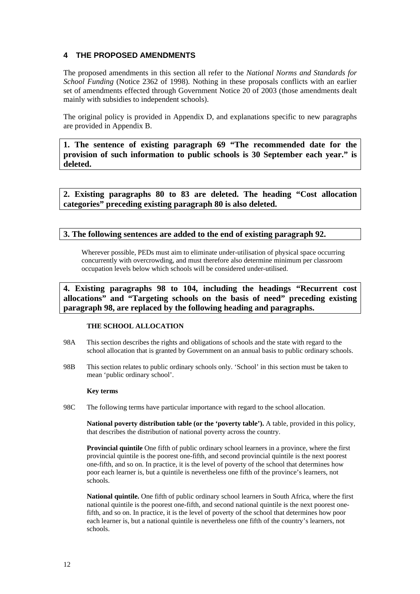## **4 THE PROPOSED AMENDMENTS**

The proposed amendments in this section all refer to the *National Norms and Standards for School Funding* (Notice 2362 of 1998). Nothing in these proposals conflicts with an earlier set of amendments effected through Government Notice 20 of 2003 (those amendments dealt mainly with subsidies to independent schools).

The original policy is provided in Appendix D, and explanations specific to new paragraphs are provided in Appendix B.

**1. The sentence of existing paragraph 69 "The recommended date for the provision of such information to public schools is 30 September each year." is deleted.** 

**2. Existing paragraphs 80 to 83 are deleted. The heading "Cost allocation categories" preceding existing paragraph 80 is also deleted.**

## **3. The following sentences are added to the end of existing paragraph 92.**

Wherever possible, PEDs must aim to eliminate under-utilisation of physical space occurring concurrently with overcrowding, and must therefore also determine minimum per classroom occupation levels below which schools will be considered under-utilised.

**4. Existing paragraphs 98 to 104, including the headings "Recurrent cost allocations" and "Targeting schools on the basis of need" preceding existing paragraph 98, are replaced by the following heading and paragraphs.** 

### **THE SCHOOL ALLOCATION**

- 98A This section describes the rights and obligations of schools and the state with regard to the school allocation that is granted by Government on an annual basis to public ordinary schools.
- 98B This section relates to public ordinary schools only. 'School' in this section must be taken to mean 'public ordinary school'.

#### **Key terms**

98C The following terms have particular importance with regard to the school allocation.

**National poverty distribution table (or the 'poverty table').** A table, provided in this policy, that describes the distribution of national poverty across the country.

**Provincial quintile** One fifth of public ordinary school learners in a province, where the first provincial quintile is the poorest one-fifth, and second provincial quintile is the next poorest one-fifth, and so on. In practice, it is the level of poverty of the school that determines how poor each learner is, but a quintile is nevertheless one fifth of the province's learners, not schools.

**National quintile.** One fifth of public ordinary school learners in South Africa, where the first national quintile is the poorest one-fifth, and second national quintile is the next poorest onefifth, and so on. In practice, it is the level of poverty of the school that determines how poor each learner is, but a national quintile is nevertheless one fifth of the country's learners, not schools.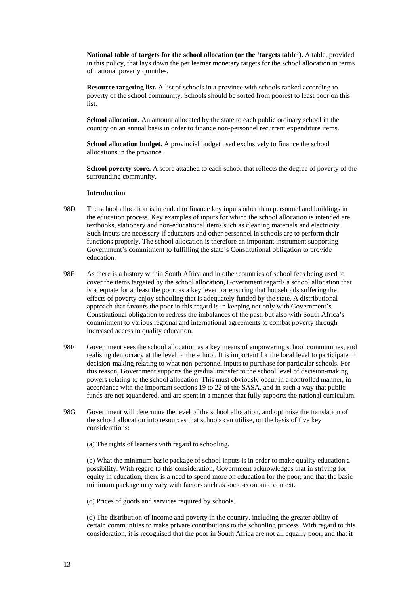**National table of targets for the school allocation (or the 'targets table').** A table, provided in this policy, that lays down the per learner monetary targets for the school allocation in terms of national poverty quintiles.

**Resource targeting list.** A list of schools in a province with schools ranked according to poverty of the school community. Schools should be sorted from poorest to least poor on this list.

**School allocation.** An amount allocated by the state to each public ordinary school in the country on an annual basis in order to finance non-personnel recurrent expenditure items.

**School allocation budget.** A provincial budget used exclusively to finance the school allocations in the province.

**School poverty score.** A score attached to each school that reflects the degree of poverty of the surrounding community.

#### **Introduction**

- 98D The school allocation is intended to finance key inputs other than personnel and buildings in the education process. Key examples of inputs for which the school allocation is intended are textbooks, stationery and non-educational items such as cleaning materials and electricity. Such inputs are necessary if educators and other personnel in schools are to perform their functions properly. The school allocation is therefore an important instrument supporting Government's commitment to fulfilling the state's Constitutional obligation to provide education.
- 98E As there is a history within South Africa and in other countries of school fees being used to cover the items targeted by the school allocation, Government regards a school allocation that is adequate for at least the poor, as a key lever for ensuring that households suffering the effects of poverty enjoy schooling that is adequately funded by the state. A distributional approach that favours the poor in this regard is in keeping not only with Government's Constitutional obligation to redress the imbalances of the past, but also with South Africa's commitment to various regional and international agreements to combat poverty through increased access to quality education.
- 98F Government sees the school allocation as a key means of empowering school communities, and realising democracy at the level of the school. It is important for the local level to participate in decision-making relating to what non-personnel inputs to purchase for particular schools. For this reason, Government supports the gradual transfer to the school level of decision-making powers relating to the school allocation. This must obviously occur in a controlled manner, in accordance with the important sections 19 to 22 of the SASA, and in such a way that public funds are not squandered, and are spent in a manner that fully supports the national curriculum.
- 98G Government will determine the level of the school allocation, and optimise the translation of the school allocation into resources that schools can utilise, on the basis of five key considerations:

(a) The rights of learners with regard to schooling.

(b) What the minimum basic package of school inputs is in order to make quality education a possibility. With regard to this consideration, Government acknowledges that in striving for equity in education, there is a need to spend more on education for the poor, and that the basic minimum package may vary with factors such as socio-economic context.

(c) Prices of goods and services required by schools.

(d) The distribution of income and poverty in the country, including the greater ability of certain communities to make private contributions to the schooling process. With regard to this consideration, it is recognised that the poor in South Africa are not all equally poor, and that it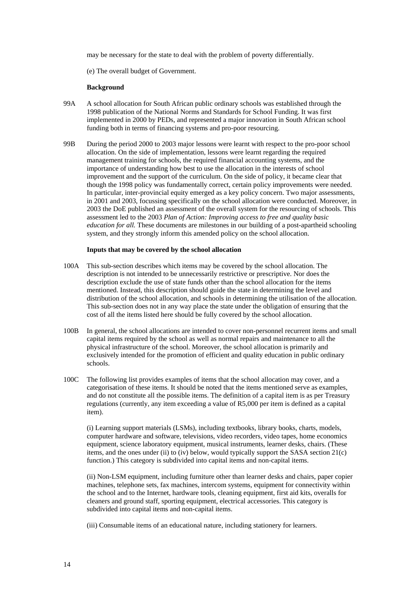may be necessary for the state to deal with the problem of poverty differentially.

(e) The overall budget of Government.

#### **Background**

- 99A A school allocation for South African public ordinary schools was established through the 1998 publication of the National Norms and Standards for School Funding. It was first implemented in 2000 by PEDs, and represented a major innovation in South African school funding both in terms of financing systems and pro-poor resourcing.
- 99B During the period 2000 to 2003 major lessons were learnt with respect to the pro-poor school allocation. On the side of implementation, lessons were learnt regarding the required management training for schools, the required financial accounting systems, and the importance of understanding how best to use the allocation in the interests of school improvement and the support of the curriculum. On the side of policy, it became clear that though the 1998 policy was fundamentally correct, certain policy improvements were needed. In particular, inter-provincial equity emerged as a key policy concern. Two major assessments, in 2001 and 2003, focussing specifically on the school allocation were conducted. Moreover, in 2003 the DoE published an assessment of the overall system for the resourcing of schools. This assessment led to the 2003 *Plan of Action: Improving access to free and quality basic education for all.* These documents are milestones in our building of a post-apartheid schooling system, and they strongly inform this amended policy on the school allocation.

#### **Inputs that may be covered by the school allocation**

- 100A This sub-section describes which items may be covered by the school allocation. The description is not intended to be unnecessarily restrictive or prescriptive. Nor does the description exclude the use of state funds other than the school allocation for the items mentioned. Instead, this description should guide the state in determining the level and distribution of the school allocation, and schools in determining the utilisation of the allocation. This sub-section does not in any way place the state under the obligation of ensuring that the cost of all the items listed here should be fully covered by the school allocation.
- 100B In general, the school allocations are intended to cover non-personnel recurrent items and small capital items required by the school as well as normal repairs and maintenance to all the physical infrastructure of the school. Moreover, the school allocation is primarily and exclusively intended for the promotion of efficient and quality education in public ordinary schools.
- 100C The following list provides examples of items that the school allocation may cover, and a categorisation of these items. It should be noted that the items mentioned serve as examples, and do not constitute all the possible items. The definition of a capital item is as per Treasury regulations (currently, any item exceeding a value of R5,000 per item is defined as a capital item).

(i) Learning support materials (LSMs), including textbooks, library books, charts, models, computer hardware and software, televisions, video recorders, video tapes, home economics equipment, science laboratory equipment, musical instruments, learner desks, chairs. (These items, and the ones under (ii) to (iv) below, would typically support the SASA section 21(c) function.) This category is subdivided into capital items and non-capital items.

(ii) Non-LSM equipment, including furniture other than learner desks and chairs, paper copier machines, telephone sets, fax machines, intercom systems, equipment for connectivity within the school and to the Internet, hardware tools, cleaning equipment, first aid kits, overalls for cleaners and ground staff, sporting equipment, electrical accessories. This category is subdivided into capital items and non-capital items.

(iii) Consumable items of an educational nature, including stationery for learners.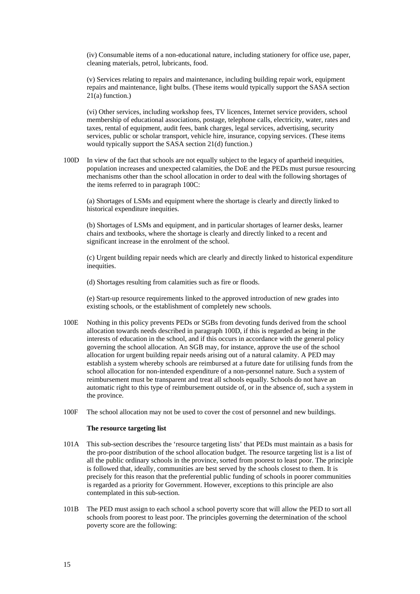(iv) Consumable items of a non-educational nature, including stationery for office use, paper, cleaning materials, petrol, lubricants, food.

(v) Services relating to repairs and maintenance, including building repair work, equipment repairs and maintenance, light bulbs. (These items would typically support the SASA section 21(a) function.)

(vi) Other services, including workshop fees, TV licences, Internet service providers, school membership of educational associations, postage, telephone calls, electricity, water, rates and taxes, rental of equipment, audit fees, bank charges, legal services, advertising, security services, public or scholar transport, vehicle hire, insurance, copying services. (These items would typically support the SASA section 21(d) function.)

100D In view of the fact that schools are not equally subject to the legacy of apartheid inequities, population increases and unexpected calamities, the DoE and the PEDs must pursue resourcing mechanisms other than the school allocation in order to deal with the following shortages of the items referred to in paragraph 100C:

(a) Shortages of LSMs and equipment where the shortage is clearly and directly linked to historical expenditure inequities.

(b) Shortages of LSMs and equipment, and in particular shortages of learner desks, learner chairs and textbooks, where the shortage is clearly and directly linked to a recent and significant increase in the enrolment of the school.

(c) Urgent building repair needs which are clearly and directly linked to historical expenditure inequities.

(d) Shortages resulting from calamities such as fire or floods.

(e) Start-up resource requirements linked to the approved introduction of new grades into existing schools, or the establishment of completely new schools.

- 100E Nothing in this policy prevents PEDs or SGBs from devoting funds derived from the school allocation towards needs described in paragraph 100D, if this is regarded as being in the interests of education in the school, and if this occurs in accordance with the general policy governing the school allocation. An SGB may, for instance, approve the use of the school allocation for urgent building repair needs arising out of a natural calamity. A PED may establish a system whereby schools are reimbursed at a future date for utilising funds from the school allocation for non-intended expenditure of a non-personnel nature. Such a system of reimbursement must be transparent and treat all schools equally. Schools do not have an automatic right to this type of reimbursement outside of, or in the absence of, such a system in the province.
- 100F The school allocation may not be used to cover the cost of personnel and new buildings.

#### **The resource targeting list**

- 101A This sub-section describes the 'resource targeting lists' that PEDs must maintain as a basis for the pro-poor distribution of the school allocation budget. The resource targeting list is a list of all the public ordinary schools in the province, sorted from poorest to least poor. The principle is followed that, ideally, communities are best served by the schools closest to them. It is precisely for this reason that the preferential public funding of schools in poorer communities is regarded as a priority for Government. However, exceptions to this principle are also contemplated in this sub-section.
- 101B The PED must assign to each school a school poverty score that will allow the PED to sort all schools from poorest to least poor. The principles governing the determination of the school poverty score are the following: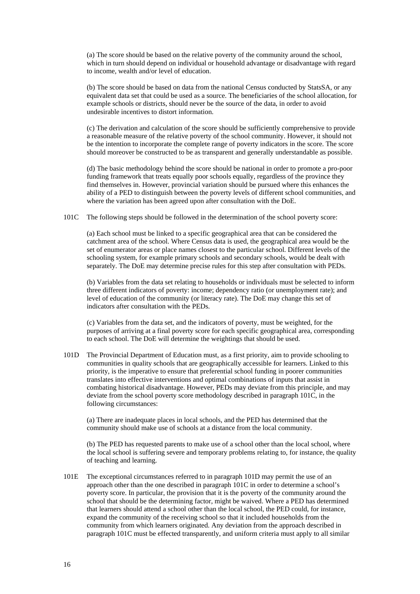(a) The score should be based on the relative poverty of the community around the school, which in turn should depend on individual or household advantage or disadvantage with regard to income, wealth and/or level of education.

(b) The score should be based on data from the national Census conducted by StatsSA, or any equivalent data set that could be used as a source. The beneficiaries of the school allocation, for example schools or districts, should never be the source of the data, in order to avoid undesirable incentives to distort information.

(c) The derivation and calculation of the score should be sufficiently comprehensive to provide a reasonable measure of the relative poverty of the school community. However, it should not be the intention to incorporate the complete range of poverty indicators in the score. The score should moreover be constructed to be as transparent and generally understandable as possible.

(d) The basic methodology behind the score should be national in order to promote a pro-poor funding framework that treats equally poor schools equally, regardless of the province they find themselves in. However, provincial variation should be pursued where this enhances the ability of a PED to distinguish between the poverty levels of different school communities, and where the variation has been agreed upon after consultation with the DoE.

101C The following steps should be followed in the determination of the school poverty score:

(a) Each school must be linked to a specific geographical area that can be considered the catchment area of the school. Where Census data is used, the geographical area would be the set of enumerator areas or place names closest to the particular school. Different levels of the schooling system, for example primary schools and secondary schools, would be dealt with separately. The DoE may determine precise rules for this step after consultation with PEDs.

(b) Variables from the data set relating to households or individuals must be selected to inform three different indicators of poverty: income; dependency ratio (or unemployment rate); and level of education of the community (or literacy rate). The DoE may change this set of indicators after consultation with the PEDs.

(c) Variables from the data set, and the indicators of poverty, must be weighted, for the purposes of arriving at a final poverty score for each specific geographical area, corresponding to each school. The DoE will determine the weightings that should be used.

101D The Provincial Department of Education must, as a first priority, aim to provide schooling to communities in quality schools that are geographically accessible for learners. Linked to this priority, is the imperative to ensure that preferential school funding in poorer communities translates into effective interventions and optimal combinations of inputs that assist in combating historical disadvantage. However, PEDs may deviate from this principle, and may deviate from the school poverty score methodology described in paragraph 101C, in the following circumstances:

(a) There are inadequate places in local schools, and the PED has determined that the community should make use of schools at a distance from the local community.

(b) The PED has requested parents to make use of a school other than the local school, where the local school is suffering severe and temporary problems relating to, for instance, the quality of teaching and learning.

101E The exceptional circumstances referred to in paragraph 101D may permit the use of an approach other than the one described in paragraph 101C in order to determine a school's poverty score. In particular, the provision that it is the poverty of the community around the school that should be the determining factor, might be waived. Where a PED has determined that learners should attend a school other than the local school, the PED could, for instance, expand the community of the receiving school so that it included households from the community from which learners originated. Any deviation from the approach described in paragraph 101C must be effected transparently, and uniform criteria must apply to all similar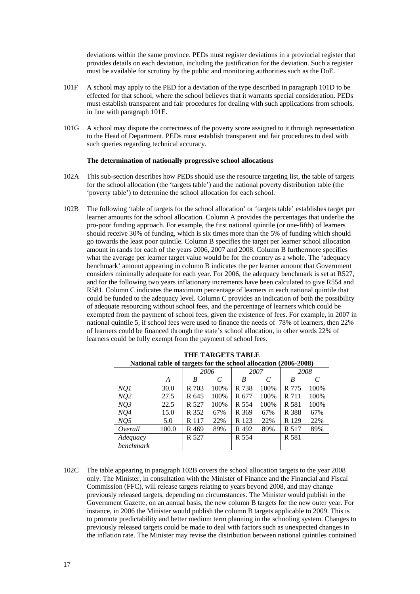deviations within the same province. PEDs must register deviations in a provincial register that provides details on each deviation, including the justification for the deviation. Such a register must be available for scrutiny by the public and monitoring authorities such as the DoE.

- 101F A school may apply to the PED for a deviation of the type described in paragraph 101D to be effected for that school, where the school believes that it warrants special consideration. PEDs must establish transparent and fair procedures for dealing with such applications from schools, in line with paragraph 101E.
- 101G A school may dispute the correctness of the poverty score assigned to it through representation to the Head of Department. PEDs must establish transparent and fair procedures to deal with such queries regarding technical accuracy.

#### **The determination of nationally progressive school allocations**

- 102A This sub-section describes how PEDs should use the resource targeting list, the table of targets for the school allocation (the 'targets table') and the national poverty distribution table (the 'poverty table') to determine the school allocation for each school.
- 102B The following 'table of targets for the school allocation' or 'targets table' establishes target per learner amounts for the school allocation. Column A provides the percentages that underlie the pro-poor funding approach. For example, the first national quintile (or one-fifth) of learners should receive 30% of funding, which is six times more than the 5% of funding which should go towards the least poor quintile. Column B specifies the target per learner school allocation amount in rands for each of the years 2006, 2007 and 2008. Column B furthermore specifies what the average per learner target value would be for the country as a whole. The 'adequacy benchmark' amount appearing in column B indicates the per learner amount that Government considers minimally adequate for each year. For 2006, the adequacy benchmark is set at R527, and for the following two years inflationary increments have been calculated to give R554 and R581. Column C indicates the maximum percentage of learners in each national quintile that could be funded to the adequacy level. Column C provides an indication of both the possibility of adequate resourcing without school fees, and the percentage of learners which could be exempted from the payment of school fees, given the existence of fees. For example, in 2007 in national quintile 5, if school fees were used to finance the needs of 78% of learners, then 22% of learners could be financed through the state's school allocation, in other words 22% of learners could be fully exempt from the payment of school fees*.*

| National table of targets for the school ahocation (2000-2006) |       |       |      |       |      |       |      |
|----------------------------------------------------------------|-------|-------|------|-------|------|-------|------|
|                                                                |       | 2006  |      | 2007  |      | 2008  |      |
|                                                                | A     | B     | C    | B     | C    | B     | C    |
| NQI                                                            | 30.0  | R 703 | 100% | R 738 | 100% | R 775 | 100% |
| NQ2                                                            | 27.5  | R 645 | 100% | R 677 | 100% | R 711 | 100% |
| NQ3                                                            | 22.5  | R 527 | 100% | R 554 | 100% | R 581 | 100% |
| NQ4                                                            | 15.0  | R 352 | 67%  | R 369 | 67%  | R 388 | 67%  |
| NQ5                                                            | 5.0   | R 117 | 22%  | R 123 | 22%  | R 129 | 22%  |
| Overall                                                        | 100.0 | R 469 | 89%  | R 492 | 89%  | R 517 | 89%  |
| Adequacy                                                       |       | R 527 |      | R 554 |      | R 581 |      |
| benchmark                                                      |       |       |      |       |      |       |      |

**THE TARGETS TABLE National table of targets for the school allocation (2006-2008)**

102C The table appearing in paragraph 102B covers the school allocation targets to the year 2008 only. The Minister, in consultation with the Minister of Finance and the Financial and Fiscal Commission (FFC), will release targets relating to years beyond 2008, and may change previously released targets, depending on circumstances. The Minister would publish in the Government Gazette, on an annual basis, the new column B targets for the new outer year. For instance, in 2006 the Minister would publish the column B targets applicable to 2009. This is to promote predictability and better medium term planning in the schooling system. Changes to previously released targets could be made to deal with factors such as unexpected changes in the inflation rate. The Minister may revise the distribution between national quintiles contained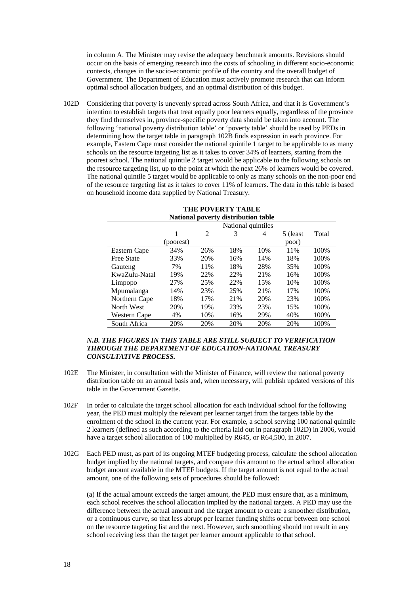in column A. The Minister may revise the adequacy benchmark amounts. Revisions should occur on the basis of emerging research into the costs of schooling in different socio-economic contexts, changes in the socio-economic profile of the country and the overall budget of Government. The Department of Education must actively promote research that can inform optimal school allocation budgets, and an optimal distribution of this budget.

102D Considering that poverty is unevenly spread across South Africa, and that it is Government's intention to establish targets that treat equally poor learners equally, regardless of the province they find themselves in, province-specific poverty data should be taken into account. The following 'national poverty distribution table' or 'poverty table' should be used by PEDs in determining how the target table in paragraph 102B finds expression in each province. For example, Eastern Cape must consider the national quintile 1 target to be applicable to as many schools on the resource targeting list as it takes to cover 34% of learners, starting from the poorest school. The national quintile 2 target would be applicable to the following schools on the resource targeting list, up to the point at which the next 26% of learners would be covered. The national quintile 5 target would be applicable to only as many schools on the non-poor end of the resource targeting list as it takes to cover 11% of learners. The data in this table is based on household income data supplied by National Treasury.

| <b>THE POVERTY TABLE</b><br>National poverty distribution table |                    |     |     |     |           |       |
|-----------------------------------------------------------------|--------------------|-----|-----|-----|-----------|-------|
|                                                                 | National quintiles |     |     |     |           |       |
|                                                                 | 1                  | 2   | 3   | 4   | 5 (least) | Total |
|                                                                 | (poorest)          |     |     |     | poor)     |       |
| Eastern Cape                                                    | 34%                | 26% | 18% | 10% | 11%       | 100%  |
| <b>Free State</b>                                               | 33%                | 20% | 16% | 14% | 18%       | 100\% |
| Gauteng                                                         | 7%                 | 11% | 18% | 28% | 35%       | 100%  |
| KwaZulu-Natal                                                   | 19%                | 22% | 22% | 21% | 16%       | 100%  |
| Limpopo                                                         | 27%                | 25% | 22% | 15% | 10%       | 100%  |
| Mpumalanga                                                      | 14%                | 23% | 25% | 21% | 17%       | 100%  |
| Northern Cape                                                   | 18%                | 17% | 21% | 20% | 23%       | 100%  |
| North West                                                      | 20%                | 19% | 23% | 23% | 15%       | 100%  |
| Western Cape                                                    | 4%                 | 10% | 16% | 29% | 40%       | 100%  |
| South Africa                                                    | 20%                | 20% | 20% | 20% | 20%       | 100%  |

#### *N.B. THE FIGURES IN THIS TABLE ARE STILL SUBJECT TO VERIFICATION THROUGH THE DEPARTMENT OF EDUCATION-NATIONAL TREASURY CONSULTATIVE PROCESS.*

- 102E The Minister, in consultation with the Minister of Finance, will review the national poverty distribution table on an annual basis and, when necessary, will publish updated versions of this table in the Government Gazette.
- 102F In order to calculate the target school allocation for each individual school for the following year, the PED must multiply the relevant per learner target from the targets table by the enrolment of the school in the current year. For example, a school serving 100 national quintile 2 learners (defined as such according to the criteria laid out in paragraph 102D) in 2006, would have a target school allocation of 100 multiplied by R645, or R64,500, in 2007.
- 102G Each PED must, as part of its ongoing MTEF budgeting process, calculate the school allocation budget implied by the national targets, and compare this amount to the actual school allocation budget amount available in the MTEF budgets. If the target amount is not equal to the actual amount, one of the following sets of procedures should be followed:

(a) If the actual amount exceeds the target amount, the PED must ensure that, as a minimum, each school receives the school allocation implied by the national targets. A PED may use the difference between the actual amount and the target amount to create a smoother distribution, or a continuous curve, so that less abrupt per learner funding shifts occur between one school on the resource targeting list and the next. However, such smoothing should not result in any school receiving less than the target per learner amount applicable to that school.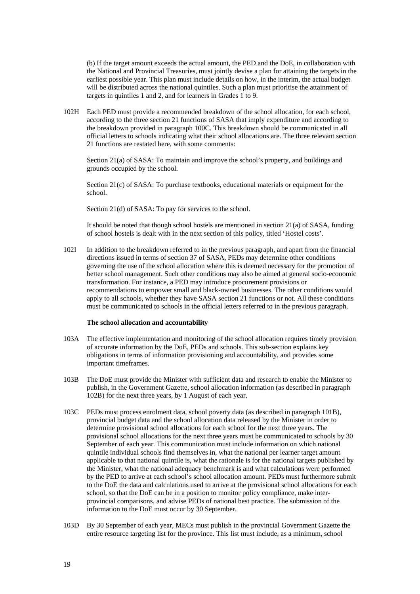(b) If the target amount exceeds the actual amount, the PED and the DoE, in collaboration with the National and Provincial Treasuries, must jointly devise a plan for attaining the targets in the earliest possible year. This plan must include details on how, in the interim, the actual budget will be distributed across the national quintiles. Such a plan must prioritise the attainment of targets in quintiles 1 and 2, and for learners in Grades 1 to 9.

102H Each PED must provide a recommended breakdown of the school allocation, for each school, according to the three section 21 functions of SASA that imply expenditure and according to the breakdown provided in paragraph 100C. This breakdown should be communicated in all official letters to schools indicating what their school allocations are. The three relevant section 21 functions are restated here, with some comments:

Section 21(a) of SASA: To maintain and improve the school's property, and buildings and grounds occupied by the school.

Section 21(c) of SASA: To purchase textbooks, educational materials or equipment for the school.

Section 21(d) of SASA: To pay for services to the school.

It should be noted that though school hostels are mentioned in section  $21(a)$  of SASA, funding of school hostels is dealt with in the next section of this policy, titled 'Hostel costs'.

102I In addition to the breakdown referred to in the previous paragraph, and apart from the financial directions issued in terms of section 37 of SASA, PEDs may determine other conditions governing the use of the school allocation where this is deemed necessary for the promotion of better school management. Such other conditions may also be aimed at general socio-economic transformation. For instance, a PED may introduce procurement provisions or recommendations to empower small and black-owned businesses. The other conditions would apply to all schools, whether they have SASA section 21 functions or not. All these conditions must be communicated to schools in the official letters referred to in the previous paragraph.

#### **The school allocation and accountability**

- 103A The effective implementation and monitoring of the school allocation requires timely provision of accurate information by the DoE, PEDs and schools. This sub-section explains key obligations in terms of information provisioning and accountability, and provides some important timeframes.
- 103B The DoE must provide the Minister with sufficient data and research to enable the Minister to publish, in the Government Gazette, school allocation information (as described in paragraph 102B) for the next three years, by 1 August of each year.
- 103C PEDs must process enrolment data, school poverty data (as described in paragraph 101B), provincial budget data and the school allocation data released by the Minister in order to determine provisional school allocations for each school for the next three years. The provisional school allocations for the next three years must be communicated to schools by 30 September of each year. This communication must include information on which national quintile individual schools find themselves in, what the national per learner target amount applicable to that national quintile is, what the rationale is for the national targets published by the Minister, what the national adequacy benchmark is and what calculations were performed by the PED to arrive at each school's school allocation amount. PEDs must furthermore submit to the DoE the data and calculations used to arrive at the provisional school allocations for each school, so that the DoE can be in a position to monitor policy compliance, make interprovincial comparisons, and advise PEDs of national best practice. The submission of the information to the DoE must occur by 30 September.
- 103D By 30 September of each year, MECs must publish in the provincial Government Gazette the entire resource targeting list for the province. This list must include, as a minimum, school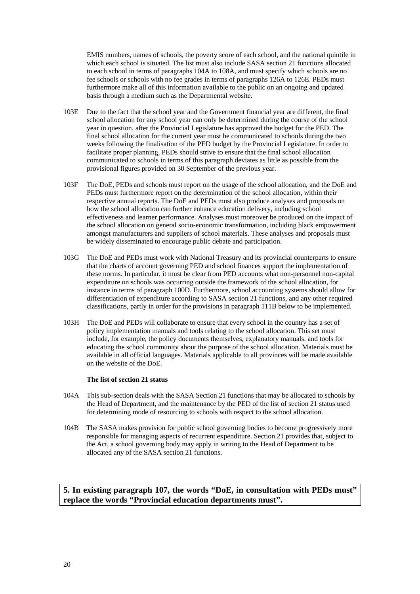EMIS numbers, names of schools, the poverty score of each school, and the national quintile in which each school is situated. The list must also include SASA section 21 functions allocated to each school in terms of paragraphs 104A to 108A, and must specify which schools are no fee schools or schools with no fee grades in terms of paragraphs 126A to 126E. PEDs must furthermore make all of this information available to the public on an ongoing and updated basis through a medium such as the Departmental website.

- 103E Due to the fact that the school year and the Government financial year are different, the final school allocation for any school year can only be determined during the course of the school year in question, after the Provincial Legislature has approved the budget for the PED. The final school allocation for the current year must be communicated to schools during the two weeks following the finalisation of the PED budget by the Provincial Legislature. In order to facilitate proper planning, PEDs should strive to ensure that the final school allocation communicated to schools in terms of this paragraph deviates as little as possible from the provisional figures provided on 30 September of the previous year.
- 103F The DoE, PEDs and schools must report on the usage of the school allocation, and the DoE and PEDs must furthermore report on the determination of the school allocation, within their respective annual reports. The DoE and PEDs must also produce analyses and proposals on how the school allocation can further enhance education delivery, including school effectiveness and learner performance. Analyses must moreover be produced on the impact of the school allocation on general socio-economic transformation, including black empowerment amongst manufacturers and suppliers of school materials. These analyses and proposals must be widely disseminated to encourage public debate and participation.
- 103G The DoE and PEDs must work with National Treasury and its provincial counterparts to ensure that the charts of account governing PED and school finances support the implementation of these norms. In particular, it must be clear from PED accounts what non-personnel non-capital expenditure on schools was occurring outside the framework of the school allocation, for instance in terms of paragraph 100D. Furthermore, school accounting systems should allow for differentiation of expenditure according to SASA section 21 functions, and any other required classifications, partly in order for the provisions in paragraph 111B below to be implemented.
- 103H The DoE and PEDs will collaborate to ensure that every school in the country has a set of policy implementation manuals and tools relating to the school allocation. This set must include, for example, the policy documents themselves, explanatory manuals, and tools for educating the school community about the purpose of the school allocation. Materials must be available in all official languages. Materials applicable to all provinces will be made available on the website of the DoE.

#### **The list of section 21 status**

- 104A This sub-section deals with the SASA Section 21 functions that may be allocated to schools by the Head of Department, and the maintenance by the PED of the list of section 21 status used for determining mode of resourcing to schools with respect to the school allocation.
- 104B The SASA makes provision for public school governing bodies to become progressively more responsible for managing aspects of recurrent expenditure. Section 21 provides that, subject to the Act, a school governing body may apply in writing to the Head of Department to be allocated any of the SASA section 21 functions.

**5. In existing paragraph 107, the words "DoE, in consultation with PEDs must" replace the words "Provincial education departments must".**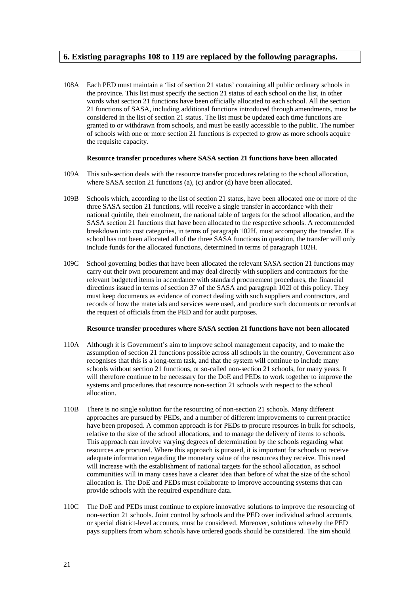## **6. Existing paragraphs 108 to 119 are replaced by the following paragraphs.**

108A Each PED must maintain a 'list of section 21 status' containing all public ordinary schools in the province. This list must specify the section 21 status of each school on the list, in other words what section 21 functions have been officially allocated to each school. All the section 21 functions of SASA, including additional functions introduced through amendments, must be considered in the list of section 21 status. The list must be updated each time functions are granted to or withdrawn from schools, and must be easily accessible to the public. The number of schools with one or more section 21 functions is expected to grow as more schools acquire the requisite capacity.

#### **Resource transfer procedures where SASA section 21 functions have been allocated**

- 109A This sub-section deals with the resource transfer procedures relating to the school allocation, where SASA section 21 functions (a), (c) and/or (d) have been allocated.
- 109B Schools which, according to the list of section 21 status, have been allocated one or more of the three SASA section 21 functions, will receive a single transfer in accordance with their national quintile, their enrolment, the national table of targets for the school allocation, and the SASA section 21 functions that have been allocated to the respective schools. A recommended breakdown into cost categories, in terms of paragraph 102H, must accompany the transfer. If a school has not been allocated all of the three SASA functions in question, the transfer will only include funds for the allocated functions, determined in terms of paragraph 102H.
- 109C School governing bodies that have been allocated the relevant SASA section 21 functions may carry out their own procurement and may deal directly with suppliers and contractors for the relevant budgeted items in accordance with standard procurement procedures, the financial directions issued in terms of section 37 of the SASA and paragraph 102I of this policy. They must keep documents as evidence of correct dealing with such suppliers and contractors, and records of how the materials and services were used, and produce such documents or records at the request of officials from the PED and for audit purposes.

#### **Resource transfer procedures where SASA section 21 functions have not been allocated**

- 110A Although it is Government's aim to improve school management capacity, and to make the assumption of section 21 functions possible across all schools in the country, Government also recognises that this is a long-term task, and that the system will continue to include many schools without section 21 functions, or so-called non-section 21 schools, for many years. It will therefore continue to be necessary for the DoE and PEDs to work together to improve the systems and procedures that resource non-section 21 schools with respect to the school allocation.
- 110B There is no single solution for the resourcing of non-section 21 schools. Many different approaches are pursued by PEDs, and a number of different improvements to current practice have been proposed. A common approach is for PEDs to procure resources in bulk for schools, relative to the size of the school allocations, and to manage the delivery of items to schools. This approach can involve varying degrees of determination by the schools regarding what resources are procured. Where this approach is pursued, it is important for schools to receive adequate information regarding the monetary value of the resources they receive. This need will increase with the establishment of national targets for the school allocation, as school communities will in many cases have a clearer idea than before of what the size of the school allocation is. The DoE and PEDs must collaborate to improve accounting systems that can provide schools with the required expenditure data.
- 110C The DoE and PEDs must continue to explore innovative solutions to improve the resourcing of non-section 21 schools. Joint control by schools and the PED over individual school accounts, or special district-level accounts, must be considered. Moreover, solutions whereby the PED pays suppliers from whom schools have ordered goods should be considered. The aim should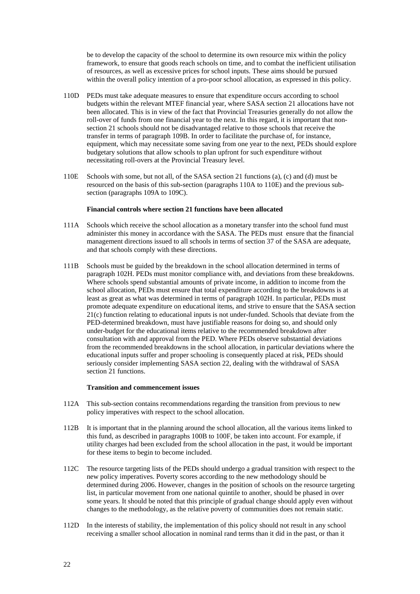be to develop the capacity of the school to determine its own resource mix within the policy framework, to ensure that goods reach schools on time, and to combat the inefficient utilisation of resources, as well as excessive prices for school inputs. These aims should be pursued within the overall policy intention of a pro-poor school allocation, as expressed in this policy.

- 110D PEDs must take adequate measures to ensure that expenditure occurs according to school budgets within the relevant MTEF financial year, where SASA section 21 allocations have not been allocated. This is in view of the fact that Provincial Treasuries generally do not allow the roll-over of funds from one financial year to the next. In this regard, it is important that nonsection 21 schools should not be disadvantaged relative to those schools that receive the transfer in terms of paragraph 109B. In order to facilitate the purchase of, for instance, equipment, which may necessitate some saving from one year to the next, PEDs should explore budgetary solutions that allow schools to plan upfront for such expenditure without necessitating roll-overs at the Provincial Treasury level.
- 110E Schools with some, but not all, of the SASA section 21 functions (a), (c) and (d) must be resourced on the basis of this sub-section (paragraphs 110A to 110E) and the previous subsection (paragraphs 109A to 109C).

#### **Financial controls where section 21 functions have been allocated**

- 111A Schools which receive the school allocation as a monetary transfer into the school fund must administer this money in accordance with the SASA. The PEDs must ensure that the financial management directions issued to all schools in terms of section 37 of the SASA are adequate, and that schools comply with these directions.
- 111B Schools must be guided by the breakdown in the school allocation determined in terms of paragraph 102H. PEDs must monitor compliance with, and deviations from these breakdowns. Where schools spend substantial amounts of private income, in addition to income from the school allocation, PEDs must ensure that total expenditure according to the breakdowns is at least as great as what was determined in terms of paragraph 102H. In particular, PEDs must promote adequate expenditure on educational items, and strive to ensure that the SASA section 21(c) function relating to educational inputs is not under-funded. Schools that deviate from the PED-determined breakdown, must have justifiable reasons for doing so, and should only under-budget for the educational items relative to the recommended breakdown after consultation with and approval from the PED. Where PEDs observe substantial deviations from the recommended breakdowns in the school allocation, in particular deviations where the educational inputs suffer and proper schooling is consequently placed at risk, PEDs should seriously consider implementing SASA section 22, dealing with the withdrawal of SASA section 21 functions.

#### **Transition and commencement issues**

- 112A This sub-section contains recommendations regarding the transition from previous to new policy imperatives with respect to the school allocation.
- 112B It is important that in the planning around the school allocation, all the various items linked to this fund, as described in paragraphs 100B to 100F, be taken into account. For example, if utility charges had been excluded from the school allocation in the past, it would be important for these items to begin to become included.
- 112C The resource targeting lists of the PEDs should undergo a gradual transition with respect to the new policy imperatives. Poverty scores according to the new methodology should be determined during 2006. However, changes in the position of schools on the resource targeting list, in particular movement from one national quintile to another, should be phased in over some years. It should be noted that this principle of gradual change should apply even without changes to the methodology, as the relative poverty of communities does not remain static.
- 112D In the interests of stability, the implementation of this policy should not result in any school receiving a smaller school allocation in nominal rand terms than it did in the past, or than it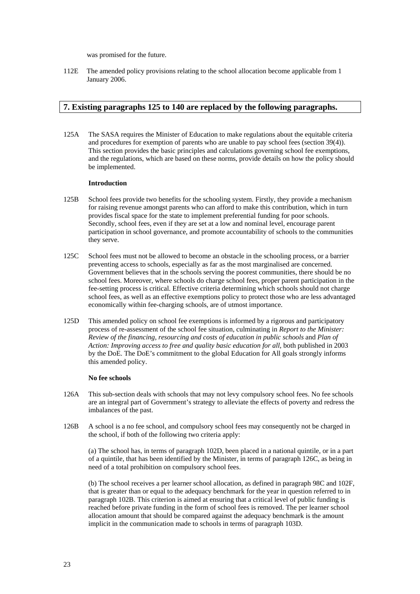was promised for the future.

112E The amended policy provisions relating to the school allocation become applicable from 1 January 2006.

## **7. Existing paragraphs 125 to 140 are replaced by the following paragraphs.**

125A The SASA requires the Minister of Education to make regulations about the equitable criteria and procedures for exemption of parents who are unable to pay school fees (section 39(4)). This section provides the basic principles and calculations governing school fee exemptions, and the regulations, which are based on these norms, provide details on how the policy should be implemented.

#### **Introduction**

- 125B School fees provide two benefits for the schooling system. Firstly, they provide a mechanism for raising revenue amongst parents who can afford to make this contribution, which in turn provides fiscal space for the state to implement preferential funding for poor schools. Secondly, school fees, even if they are set at a low and nominal level, encourage parent participation in school governance, and promote accountability of schools to the communities they serve.
- 125C School fees must not be allowed to become an obstacle in the schooling process, or a barrier preventing access to schools, especially as far as the most marginalised are concerned. Government believes that in the schools serving the poorest communities, there should be no school fees. Moreover, where schools do charge school fees, proper parent participation in the fee-setting process is critical. Effective criteria determining which schools should not charge school fees, as well as an effective exemptions policy to protect those who are less advantaged economically within fee-charging schools, are of utmost importance.
- 125D This amended policy on school fee exemptions is informed by a rigorous and participatory process of re-assessment of the school fee situation, culminating in *Report to the Minister: Review of the financing, resourcing and costs of education in public schools* and *Plan of Action: Improving access to free and quality basic education for all*, both published in 2003 by the DoE. The DoE's commitment to the global Education for All goals strongly informs this amended policy.

#### **No fee schools**

- 126A This sub-section deals with schools that may not levy compulsory school fees. No fee schools are an integral part of Government's strategy to alleviate the effects of poverty and redress the imbalances of the past.
- 126B A school is a no fee school, and compulsory school fees may consequently not be charged in the school, if both of the following two criteria apply:

(a) The school has, in terms of paragraph 102D, been placed in a national quintile, or in a part of a quintile, that has been identified by the Minister, in terms of paragraph 126C, as being in need of a total prohibition on compulsory school fees.

(b) The school receives a per learner school allocation, as defined in paragraph 98C and 102F, that is greater than or equal to the adequacy benchmark for the year in question referred to in paragraph 102B. This criterion is aimed at ensuring that a critical level of public funding is reached before private funding in the form of school fees is removed. The per learner school allocation amount that should be compared against the adequacy benchmark is the amount implicit in the communication made to schools in terms of paragraph 103D.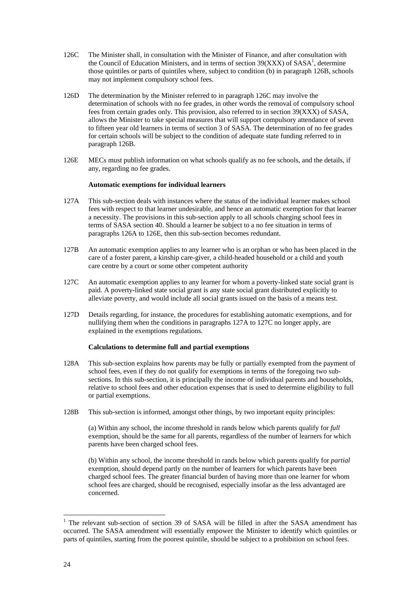- 126C The Minister shall, in consultation with the Minister of Finance, and after consultation with the Council of Education Ministers, and in terms of section  $39(XXX)$  of SASA<sup>1</sup>, determine those quintiles or parts of quintiles where, subject to condition (b) in paragraph 126B, schools may not implement compulsory school fees.
- 126D The determination by the Minister referred to in paragraph 126C may involve the determination of schools with no fee grades, in other words the removal of compulsory school fees from certain grades only. This provision, also referred to in section 39(XXX) of SASA, allows the Minister to take special measures that will support compulsory attendance of seven to fifteen year old learners in terms of section 3 of SASA. The determination of no fee grades for certain schools will be subject to the condition of adequate state funding referred to in paragraph 126B.
- 126E MECs must publish information on what schools qualify as no fee schools, and the details, if any, regarding no fee grades.

#### **Automatic exemptions for individual learners**

- 127A This sub-section deals with instances where the status of the individual learner makes school fees with respect to that learner undesirable, and hence an automatic exemption for that learner a necessity. The provisions in this sub-section apply to all schools charging school fees in terms of SASA section 40. Should a learner be subject to a no fee situation in terms of paragraphs 126A to 126E, then this sub-section becomes redundant.
- 127B An automatic exemption applies to any learner who is an orphan or who has been placed in the care of a foster parent, a kinship care-giver, a child-headed household or a child and youth care centre by a court or some other competent authority
- 127C An automatic exemption applies to any learner for whom a poverty-linked state social grant is paid. A poverty-linked state social grant is any state social grant distributed explicitly to alleviate poverty, and would include all social grants issued on the basis of a means test.
- 127D Details regarding, for instance, the procedures for establishing automatic exemptions, and for nullifying them when the conditions in paragraphs 127A to 127C no longer apply, are explained in the exemptions regulations.

#### **Calculations to determine full and partial exemptions**

- 128A This sub-section explains how parents may be fully or partially exempted from the payment of school fees, even if they do not qualify for exemptions in terms of the foregoing two subsections. In this sub-section, it is principally the income of individual parents and households, relative to school fees and other education expenses that is used to determine eligibility to full or partial exemptions.
- 128B This sub-section is informed, amongst other things, by two important equity principles:

(a) Within any school, the income threshold in rands below which parents qualify for *full* exemption, should be the same for all parents, regardless of the number of learners for which parents have been charged school fees.

(b) Within any school, the income threshold in rands below which parents qualify for *partial* exemption, should depend partly on the number of learners for which parents have been charged school fees. The greater financial burden of having more than one learner for whom school fees are charged, should be recognised, especially insofar as the less advantaged are concerned.

 $\frac{1}{1}$ <sup>1</sup> The relevant sub-section of section 39 of SASA will be filled in after the SASA amendment has occurred. The SASA amendment will essentially empower the Minister to identify which quintiles or parts of quintiles, starting from the poorest quintile, should be subject to a prohibition on school fees.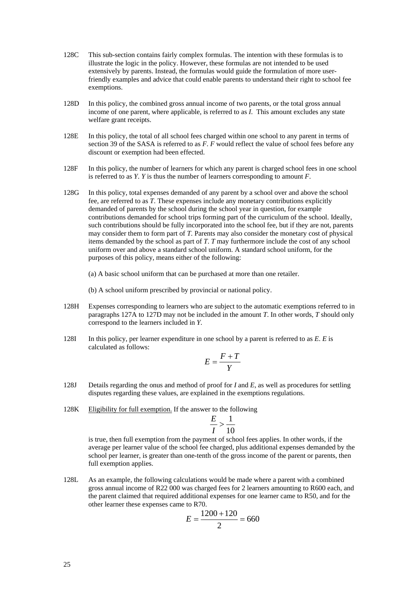- 128C This sub-section contains fairly complex formulas. The intention with these formulas is to illustrate the logic in the policy. However, these formulas are not intended to be used extensively by parents. Instead, the formulas would guide the formulation of more userfriendly examples and advice that could enable parents to understand their right to school fee exemptions.
- 128D In this policy, the combined gross annual income of two parents, or the total gross annual income of one parent, where applicable, is referred to as *I*. This amount excludes any state welfare grant receipts.
- 128E In this policy, the total of all school fees charged within one school to any parent in terms of section 39 of the SASA is referred to as *F*. *F* would reflect the value of school fees before any discount or exemption had been effected.
- 128F In this policy, the number of learners for which any parent is charged school fees in one school is referred to as *Y*. *Y* is thus the number of learners corresponding to amount *F*.
- 128G In this policy, total expenses demanded of any parent by a school over and above the school fee, are referred to as *T*. These expenses include any monetary contributions explicitly demanded of parents by the school during the school year in question, for example contributions demanded for school trips forming part of the curriculum of the school. Ideally, such contributions should be fully incorporated into the school fee, but if they are not, parents may consider them to form part of *T*. Parents may also consider the monetary cost of physical items demanded by the school as part of *T*. *T* may furthermore include the cost of any school uniform over and above a standard school uniform. A standard school uniform, for the purposes of this policy, means either of the following:
	- (a) A basic school uniform that can be purchased at more than one retailer.
	- (b) A school uniform prescribed by provincial or national policy.
- 128H Expenses corresponding to learners who are subject to the automatic exemptions referred to in paragraphs 127A to 127D may not be included in the amount *T*. In other words, *T* should only correspond to the learners included in *Y*.
- 128I In this policy, per learner expenditure in one school by a parent is referred to as *E*. *E* is calculated as follows:

$$
E = \frac{F + T}{Y}
$$

- 128J Details regarding the onus and method of proof for *I* and *E*, as well as procedures for settling disputes regarding these values, are explained in the exemptions regulations.
- 128K Eligibility for full exemption. If the answer to the following

$$
\frac{E}{I} > \frac{1}{10}
$$

is true, then full exemption from the payment of school fees applies. In other words, if the average per learner value of the school fee charged, plus additional expenses demanded by the school per learner, is greater than one-tenth of the gross income of the parent or parents, then full exemption applies.

128L As an example, the following calculations would be made where a parent with a combined gross annual income of R22 000 was charged fees for 2 learners amounting to R600 each, and the parent claimed that required additional expenses for one learner came to R50, and for the other learner these expenses came to R70.

$$
E = \frac{1200 + 120}{2} = 660
$$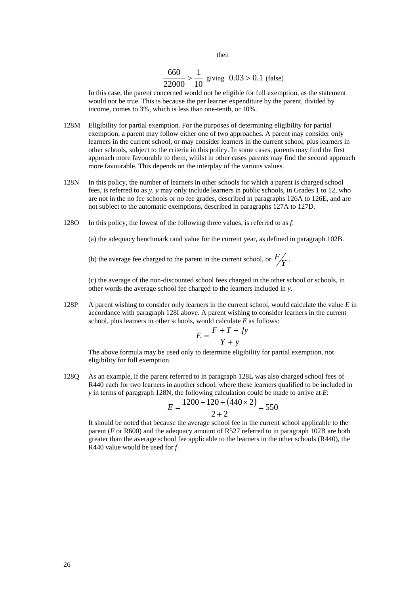then

$$
\frac{660}{22000} > \frac{1}{10}
$$
 giving  $0.03 > 0.1$  (false)

In this case, the parent concerned would not be eligible for full exemption, as the statement would not be true. This is because the per learner expenditure by the parent, divided by income, comes to 3%, which is less than one-tenth, or 10%.

- 128M Eligibility for partial exemption. For the purposes of determining eligibility for partial exemption, a parent may follow either one of two approaches. A parent may consider only learners in the current school, or may consider learners in the current school, plus learners in other schools, subject to the criteria in this policy. In some cases, parents may find the first approach more favourable to them, whilst in other cases parents may find the second approach more favourable. This depends on the interplay of the various values.
- 128N In this policy, the number of learners in other schools for which a parent is charged school fees, is referred to as *y*. *y* may only include learners in public schools, in Grades 1 to 12, who are not in the no fee schools or no fee grades, described in paragraphs 126A to 126E, and are not subject to the automatic exemptions, described in paragraphs 127A to 127D.
- 128O In this policy, the lowest of the following three values, is referred to as *f*:

(a) the adequacy benchmark rand value for the current year, as defined in paragraph 102B.

(b) the average fee charged to the parent in the current school, or  $\frac{F}{Y}$ .

(c) the average of the non-discounted school fees charged in the other school or schools, in other words the average school fee charged to the learners included in *y*.

128P A parent wishing to consider only learners in the current school, would calculate the value *E* in accordance with paragraph 128I above. A parent wishing to consider learners in the current school, plus learners in other schools, would calculate *E* as follows:

$$
E = \frac{F + T + fy}{Y + y}
$$

The above formula may be used only to determine eligibility for partial exemption, not eligibility for full exemption.

128Q As an example, if the parent referred to in paragraph 128L was also charged school fees of R440 each for two learners in another school, where these learners qualified to be included in *y* in terms of paragraph 128N, the following calculation could be made to arrive at *E*:

$$
E = \frac{1200 + 120 + (440 \times 2)}{2 + 2} = 550
$$

It should be noted that because the average school fee in the current school applicable to the parent (*F* or R600) and the adequacy amount of R527 referred to in paragraph 102B are both greater than the average school fee applicable to the learners in the other schools (R440), the R440 value would be used for *f*.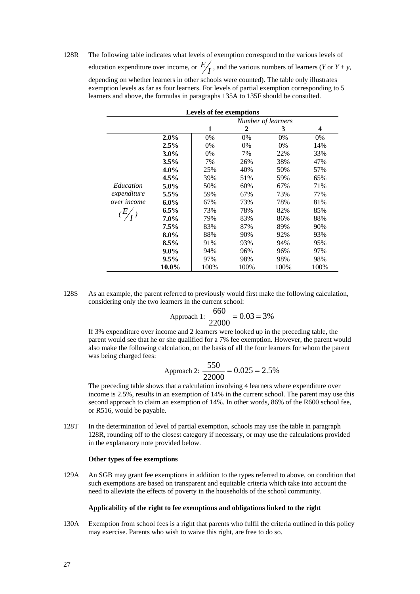128R The following table indicates what levels of exemption correspond to the various levels of education expenditure over income, or  $E/I$ , and the various numbers of learners (*Y* or *Y* + *y*, depending on whether learners in other schools were counted). The table only illustrates exemption levels as far as four learners. For levels of partial exemption corresponding to 5 learners and above, the formulas in paragraphs 135A to 135F should be consulted.

| Levels of fee exemptions |         |      |                    |      |      |  |
|--------------------------|---------|------|--------------------|------|------|--|
|                          |         |      | Number of learners |      |      |  |
|                          |         | 1    | 2                  | 3    | 4    |  |
|                          | $2.0\%$ | 0%   | 0%                 | 0%   | 0%   |  |
|                          | 2.5%    | 0%   | 0%                 | 0%   | 14%  |  |
|                          | $3.0\%$ | 0%   | 7%                 | 22%  | 33%  |  |
|                          | $3.5\%$ | 7%   | 26%                | 38%  | 47%  |  |
|                          | $4.0\%$ | 25%  | 40%                | 50%  | 57%  |  |
|                          | 4.5%    | 39%  | 51%                | 59%  | 65%  |  |
| Education                | $5.0\%$ | 50%  | 60%                | 67%  | 71%  |  |
| expenditure              | 5.5%    | 59%  | 67%                | 73%  | 77%  |  |
| over income              | $6.0\%$ | 67%  | 73%                | 78%  | 81%  |  |
| $(E/_{I})$               | $6.5\%$ | 73%  | 78%                | 82%  | 85%  |  |
|                          | $7.0\%$ | 79%  | 83%                | 86%  | 88%  |  |
|                          | $7.5\%$ | 83%  | 87%                | 89%  | 90%  |  |
|                          | $8.0\%$ | 88%  | 90%                | 92%  | 93%  |  |
|                          | $8.5\%$ | 91%  | 93%                | 94%  | 95%  |  |
|                          | $9.0\%$ | 94%  | 96%                | 96%  | 97%  |  |
|                          | $9.5\%$ | 97%  | 98%                | 98%  | 98%  |  |
|                          | 10.0%   | 100% | 100%               | 100% | 100% |  |

128S As an example, the parent referred to previously would first make the following calculation, considering only the two learners in the current school:

$$
ext{Approx1: } \frac{660}{22000} = 0.03 = 3\%
$$

If 3% expenditure over income and 2 learners were looked up in the preceding table, the parent would see that he or she qualified for a 7% fee exemption. However, the parent would also make the following calculation, on the basis of all the four learners for whom the parent was being charged fees:

$$
Approach 2: \frac{550}{22000} = 0.025 = 2.5\%
$$

The preceding table shows that a calculation involving 4 learners where expenditure over income is 2.5%, results in an exemption of 14% in the current school. The parent may use this second approach to claim an exemption of 14%. In other words, 86% of the R600 school fee, or R516, would be payable.

128T In the determination of level of partial exemption, schools may use the table in paragraph 128R, rounding off to the closest category if necessary, or may use the calculations provided in the explanatory note provided below.

#### **Other types of fee exemptions**

129A An SGB may grant fee exemptions in addition to the types referred to above, on condition that such exemptions are based on transparent and equitable criteria which take into account the need to alleviate the effects of poverty in the households of the school community.

#### **Applicability of the right to fee exemptions and obligations linked to the right**

130A Exemption from school fees is a right that parents who fulfil the criteria outlined in this policy may exercise. Parents who wish to waive this right, are free to do so.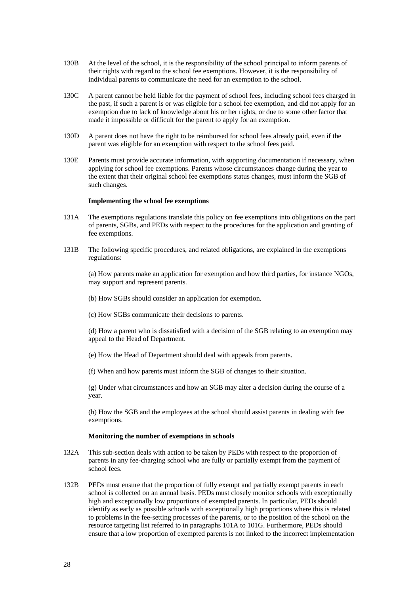- 130B At the level of the school, it is the responsibility of the school principal to inform parents of their rights with regard to the school fee exemptions. However, it is the responsibility of individual parents to communicate the need for an exemption to the school.
- 130C A parent cannot be held liable for the payment of school fees, including school fees charged in the past, if such a parent is or was eligible for a school fee exemption, and did not apply for an exemption due to lack of knowledge about his or her rights, or due to some other factor that made it impossible or difficult for the parent to apply for an exemption.
- 130D A parent does not have the right to be reimbursed for school fees already paid, even if the parent was eligible for an exemption with respect to the school fees paid.
- 130E Parents must provide accurate information, with supporting documentation if necessary, when applying for school fee exemptions. Parents whose circumstances change during the year to the extent that their original school fee exemptions status changes, must inform the SGB of such changes.

#### **Implementing the school fee exemptions**

- 131A The exemptions regulations translate this policy on fee exemptions into obligations on the part of parents, SGBs, and PEDs with respect to the procedures for the application and granting of fee exemptions.
- 131B The following specific procedures, and related obligations, are explained in the exemptions regulations:

(a) How parents make an application for exemption and how third parties, for instance NGOs, may support and represent parents.

- (b) How SGBs should consider an application for exemption.
- (c) How SGBs communicate their decisions to parents.

(d) How a parent who is dissatisfied with a decision of the SGB relating to an exemption may appeal to the Head of Department.

(e) How the Head of Department should deal with appeals from parents.

(f) When and how parents must inform the SGB of changes to their situation.

(g) Under what circumstances and how an SGB may alter a decision during the course of a year.

(h) How the SGB and the employees at the school should assist parents in dealing with fee exemptions.

#### **Monitoring the number of exemptions in schools**

- 132A This sub-section deals with action to be taken by PEDs with respect to the proportion of parents in any fee-charging school who are fully or partially exempt from the payment of school fees.
- 132B PEDs must ensure that the proportion of fully exempt and partially exempt parents in each school is collected on an annual basis. PEDs must closely monitor schools with exceptionally high and exceptionally low proportions of exempted parents. In particular, PEDs should identify as early as possible schools with exceptionally high proportions where this is related to problems in the fee-setting processes of the parents, or to the position of the school on the resource targeting list referred to in paragraphs 101A to 101G. Furthermore, PEDs should ensure that a low proportion of exempted parents is not linked to the incorrect implementation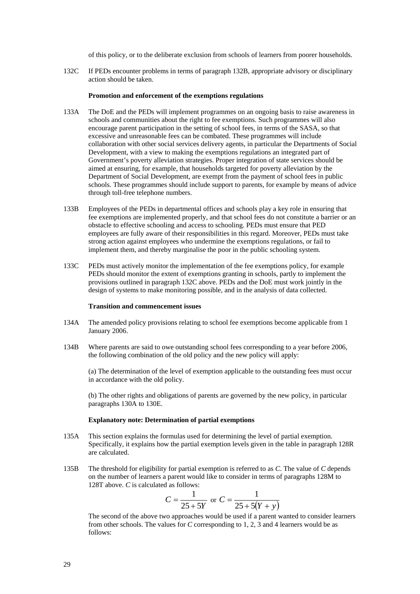of this policy, or to the deliberate exclusion from schools of learners from poorer households.

132C If PEDs encounter problems in terms of paragraph 132B, appropriate advisory or disciplinary action should be taken.

#### **Promotion and enforcement of the exemptions regulations**

- 133A The DoE and the PEDs will implement programmes on an ongoing basis to raise awareness in schools and communities about the right to fee exemptions. Such programmes will also encourage parent participation in the setting of school fees, in terms of the SASA, so that excessive and unreasonable fees can be combated. These programmes will include collaboration with other social services delivery agents, in particular the Departments of Social Development, with a view to making the exemptions regulations an integrated part of Government's poverty alleviation strategies. Proper integration of state services should be aimed at ensuring, for example, that households targeted for poverty alleviation by the Department of Social Development, are exempt from the payment of school fees in public schools. These programmes should include support to parents, for example by means of advice through toll-free telephone numbers.
- 133B Employees of the PEDs in departmental offices and schools play a key role in ensuring that fee exemptions are implemented properly, and that school fees do not constitute a barrier or an obstacle to effective schooling and access to schooling. PEDs must ensure that PED employees are fully aware of their responsibilities in this regard. Moreover, PEDs must take strong action against employees who undermine the exemptions regulations, or fail to implement them, and thereby marginalise the poor in the public schooling system.
- 133C PEDs must actively monitor the implementation of the fee exemptions policy, for example PEDs should monitor the extent of exemptions granting in schools, partly to implement the provisions outlined in paragraph 132C above. PEDs and the DoE must work jointly in the design of systems to make monitoring possible, and in the analysis of data collected.

#### **Transition and commencement issues**

- 134A The amended policy provisions relating to school fee exemptions become applicable from 1 January 2006.
- 134B Where parents are said to owe outstanding school fees corresponding to a year before 2006, the following combination of the old policy and the new policy will apply:

(a) The determination of the level of exemption applicable to the outstanding fees must occur in accordance with the old policy.

(b) The other rights and obligations of parents are governed by the new policy, in particular paragraphs 130A to 130E.

#### **Explanatory note: Determination of partial exemptions**

- 135A This section explains the formulas used for determining the level of partial exemption. Specifically, it explains how the partial exemption levels given in the table in paragraph 128R are calculated.
- 135B The threshold for eligibility for partial exemption is referred to as *C*. The value of *C* depends on the number of learners a parent would like to consider in terms of paragraphs 128M to 128T above. *C* is calculated as follows:

$$
C = \frac{1}{25 + 5Y} \text{ or } C = \frac{1}{25 + 5(Y + y)}
$$

The second of the above two approaches would be used if a parent wanted to consider learners from other schools. The values for *C* corresponding to 1, 2, 3 and 4 learners would be as follows: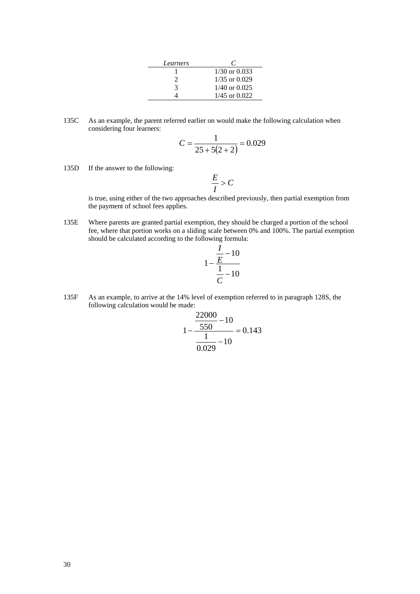| Learners |                   |
|----------|-------------------|
|          | $1/30$ or $0.033$ |
|          | $1/35$ or $0.029$ |
| 3        | $1/40$ or $0.025$ |
|          | $1/45$ or $0.022$ |

135C As an example, the parent referred earlier on would make the following calculation when considering four learners:

$$
C = \frac{1}{25 + 5(2 + 2)} = 0.029
$$

135D If the answer to the following:

$$
\frac{E}{I} > C
$$

is true, using either of the two approaches described previously, then partial exemption from the payment of school fees applies.

135E Where parents are granted partial exemption, they should be charged a portion of the school fee, where that portion works on a sliding scale between 0% and 100%. The partial exemption should be calculated according to the following formula:

$$
1 - \frac{\frac{I}{E} - 10}{\frac{1}{C} - 10}
$$

135F As an example, to arrive at the 14% level of exemption referred to in paragraph 128S, the following calculation would be made: 22000

$$
1 - \frac{\frac{22000}{550} - 10}{\frac{1}{0.029} - 10} = 0.143
$$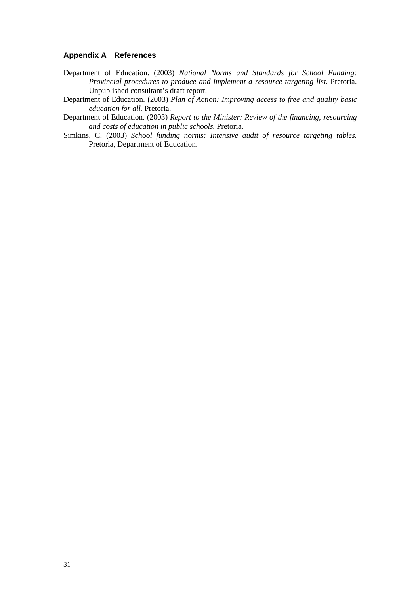## **Appendix A References**

- Department of Education. (2003) *National Norms and Standards for School Funding: Provincial procedures to produce and implement a resource targeting list.* Pretoria. Unpublished consultant's draft report.
- Department of Education. (2003) *Plan of Action: Improving access to free and quality basic education for all.* Pretoria.
- Department of Education. (2003) *Report to the Minister: Review of the financing, resourcing and costs of education in public schools.* Pretoria.
- Simkins, C. (2003) *School funding norms: Intensive audit of resource targeting tables.* Pretoria, Department of Education.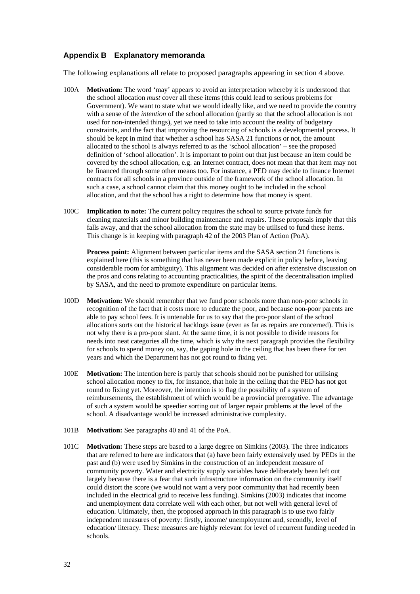## **Appendix B Explanatory memoranda**

The following explanations all relate to proposed paragraphs appearing in section 4 above.

- 100A **Motivation:** The word 'may' appears to avoid an interpretation whereby it is understood that the school allocation *must* cover all these items (this could lead to serious problems for Government). We want to state what we would ideally like, and we need to provide the country with a sense of the *intention* of the school allocation (partly so that the school allocation is not used for non-intended things), yet we need to take into account the reality of budgetary constraints, and the fact that improving the resourcing of schools is a developmental process. It should be kept in mind that whether a school has SASA 21 functions or not, the amount allocated to the school is always referred to as the 'school allocation' – see the proposed definition of 'school allocation'. It is important to point out that just because an item could be covered by the school allocation, e.g. an Internet contract, does not mean that that item may not be financed through some other means too. For instance, a PED may decide to finance Internet contracts for all schools in a province outside of the framework of the school allocation. In such a case, a school cannot claim that this money ought to be included in the school allocation, and that the school has a right to determine how that money is spent.
- 100C **Implication to note:** The current policy requires the school to source private funds for cleaning materials and minor building maintenance and repairs. These proposals imply that this falls away, and that the school allocation from the state may be utilised to fund these items. This change is in keeping with paragraph 42 of the 2003 Plan of Action (PoA).

**Process point:** Alignment between particular items and the SASA section 21 functions is explained here (this is something that has never been made explicit in policy before, leaving considerable room for ambiguity). This alignment was decided on after extensive discussion on the pros and cons relating to accounting practicalities, the spirit of the decentralisation implied by SASA, and the need to promote expenditure on particular items.

- 100D **Motivation:** We should remember that we fund poor schools more than non-poor schools in recognition of the fact that it costs more to educate the poor, and because non-poor parents are able to pay school fees. It is untenable for us to say that the pro-poor slant of the school allocations sorts out the historical backlogs issue (even as far as repairs are concerned). This is not why there is a pro-poor slant. At the same time, it is not possible to divide reasons for needs into neat categories all the time, which is why the next paragraph provides the flexibility for schools to spend money on, say, the gaping hole in the ceiling that has been there for ten years and which the Department has not got round to fixing yet.
- 100E **Motivation:** The intention here is partly that schools should not be punished for utilising school allocation money to fix, for instance, that hole in the ceiling that the PED has not got round to fixing yet. Moreover, the intention is to flag the possibility of a system of reimbursements, the establishment of which would be a provincial prerogative. The advantage of such a system would be speedier sorting out of larger repair problems at the level of the school. A disadvantage would be increased administrative complexity.
- 101B **Motivation:** See paragraphs 40 and 41 of the PoA.
- 101C **Motivation:** These steps are based to a large degree on Simkins (2003). The three indicators that are referred to here are indicators that (a) have been fairly extensively used by PEDs in the past and (b) were used by Simkins in the construction of an independent measure of community poverty. Water and electricity supply variables have deliberately been left out largely because there is a fear that such infrastructure information on the community itself could distort the score (we would not want a very poor community that had recently been included in the electrical grid to receive less funding). Simkins (2003) indicates that income and unemployment data correlate well with each other, but not well with general level of education. Ultimately, then, the proposed approach in this paragraph is to use two fairly independent measures of poverty: firstly, income/ unemployment and, secondly, level of education/ literacy. These measures are highly relevant for level of recurrent funding needed in schools.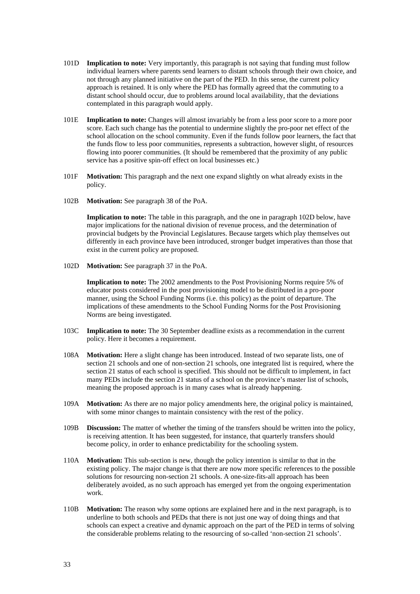- 101D **Implication to note:** Very importantly, this paragraph is not saying that funding must follow individual learners where parents send learners to distant schools through their own choice, and not through any planned initiative on the part of the PED. In this sense, the current policy approach is retained. It is only where the PED has formally agreed that the commuting to a distant school should occur, due to problems around local availability, that the deviations contemplated in this paragraph would apply.
- 101E **Implication to note:** Changes will almost invariably be from a less poor score to a more poor score. Each such change has the potential to undermine slightly the pro-poor net effect of the school allocation on the school community. Even if the funds follow poor learners, the fact that the funds flow to less poor communities, represents a subtraction, however slight, of resources flowing into poorer communities. (It should be remembered that the proximity of any public service has a positive spin-off effect on local businesses etc.)
- 101F **Motivation:** This paragraph and the next one expand slightly on what already exists in the policy.
- 102B **Motivation:** See paragraph 38 of the PoA.

**Implication to note:** The table in this paragraph, and the one in paragraph 102D below, have major implications for the national division of revenue process, and the determination of provincial budgets by the Provincial Legislatures. Because targets which play themselves out differently in each province have been introduced, stronger budget imperatives than those that exist in the current policy are proposed.

102D **Motivation:** See paragraph 37 in the PoA.

**Implication to note:** The 2002 amendments to the Post Provisioning Norms require 5% of educator posts considered in the post provisioning model to be distributed in a pro-poor manner, using the School Funding Norms (i.e. this policy) as the point of departure. The implications of these amendments to the School Funding Norms for the Post Provisioning Norms are being investigated.

- 103C **Implication to note:** The 30 September deadline exists as a recommendation in the current policy. Here it becomes a requirement.
- 108A **Motivation:** Here a slight change has been introduced. Instead of two separate lists, one of section 21 schools and one of non-section 21 schools, one integrated list is required, where the section 21 status of each school is specified. This should not be difficult to implement, in fact many PEDs include the section 21 status of a school on the province's master list of schools, meaning the proposed approach is in many cases what is already happening.
- 109A **Motivation:** As there are no major policy amendments here, the original policy is maintained, with some minor changes to maintain consistency with the rest of the policy.
- 109B **Discussion:** The matter of whether the timing of the transfers should be written into the policy, is receiving attention. It has been suggested, for instance, that quarterly transfers should become policy, in order to enhance predictability for the schooling system.
- 110A **Motivation:** This sub-section is new, though the policy intention is similar to that in the existing policy. The major change is that there are now more specific references to the possible solutions for resourcing non-section 21 schools. A one-size-fits-all approach has been deliberately avoided, as no such approach has emerged yet from the ongoing experimentation work.
- 110B **Motivation:** The reason why some options are explained here and in the next paragraph, is to underline to both schools and PEDs that there is not just one way of doing things and that schools can expect a creative and dynamic approach on the part of the PED in terms of solving the considerable problems relating to the resourcing of so-called 'non-section 21 schools'.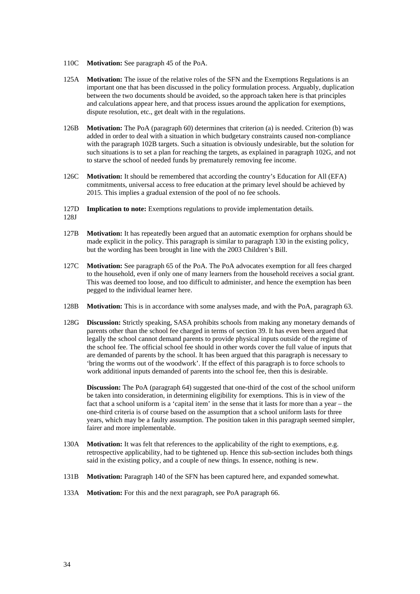- 110C **Motivation:** See paragraph 45 of the PoA.
- 125A **Motivation:** The issue of the relative roles of the SFN and the Exemptions Regulations is an important one that has been discussed in the policy formulation process. Arguably, duplication between the two documents should be avoided, so the approach taken here is that principles and calculations appear here, and that process issues around the application for exemptions, dispute resolution, etc., get dealt with in the regulations.
- 126B **Motivation:** The PoA (paragraph 60) determines that criterion (a) is needed. Criterion (b) was added in order to deal with a situation in which budgetary constraints caused non-compliance with the paragraph 102B targets. Such a situation is obviously undesirable, but the solution for such situations is to set a plan for reaching the targets, as explained in paragraph 102G, and not to starve the school of needed funds by prematurely removing fee income.
- 126C **Motivation:** It should be remembered that according the country's Education for All (EFA) commitments, universal access to free education at the primary level should be achieved by 2015. This implies a gradual extension of the pool of no fee schools.
- 127D **Implication to note:** Exemptions regulations to provide implementation details.
- 128J
- 127B **Motivation:** It has repeatedly been argued that an automatic exemption for orphans should be made explicit in the policy. This paragraph is similar to paragraph 130 in the existing policy, but the wording has been brought in line with the 2003 Children's Bill.
- 127C **Motivation:** See paragraph 65 of the PoA. The PoA advocates exemption for all fees charged to the household, even if only one of many learners from the household receives a social grant. This was deemed too loose, and too difficult to administer, and hence the exemption has been pegged to the individual learner here.
- 128B **Motivation:** This is in accordance with some analyses made, and with the PoA, paragraph 63.
- 128G **Discussion:** Strictly speaking, SASA prohibits schools from making any monetary demands of parents other than the school fee charged in terms of section 39. It has even been argued that legally the school cannot demand parents to provide physical inputs outside of the regime of the school fee. The official school fee should in other words cover the full value of inputs that are demanded of parents by the school. It has been argued that this paragraph is necessary to 'bring the worms out of the woodwork'. If the effect of this paragraph is to force schools to work additional inputs demanded of parents into the school fee, then this is desirable.

**Discussion:** The PoA (paragraph 64) suggested that one-third of the cost of the school uniform be taken into consideration, in determining eligibility for exemptions. This is in view of the fact that a school uniform is a 'capital item' in the sense that it lasts for more than a year – the one-third criteria is of course based on the assumption that a school uniform lasts for three years, which may be a faulty assumption. The position taken in this paragraph seemed simpler, fairer and more implementable.

- 130A **Motivation:** It was felt that references to the applicability of the right to exemptions, e.g. retrospective applicability, had to be tightened up. Hence this sub-section includes both things said in the existing policy, and a couple of new things. In essence, nothing is new.
- 131B **Motivation:** Paragraph 140 of the SFN has been captured here, and expanded somewhat.
- 133A **Motivation:** For this and the next paragraph, see PoA paragraph 66.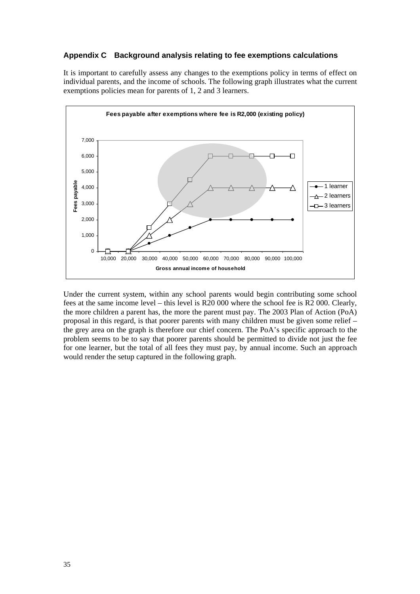## **Appendix C Background analysis relating to fee exemptions calculations**

It is important to carefully assess any changes to the exemptions policy in terms of effect on individual parents, and the income of schools. The following graph illustrates what the current exemptions policies mean for parents of 1, 2 and 3 learners.



Under the current system, within any school parents would begin contributing some school fees at the same income level – this level is R20 000 where the school fee is R2 000. Clearly, the more children a parent has, the more the parent must pay. The 2003 Plan of Action (PoA) proposal in this regard, is that poorer parents with many children must be given some relief – the grey area on the graph is therefore our chief concern. The PoA's specific approach to the problem seems to be to say that poorer parents should be permitted to divide not just the fee for one learner, but the total of all fees they must pay, by annual income. Such an approach would render the setup captured in the following graph.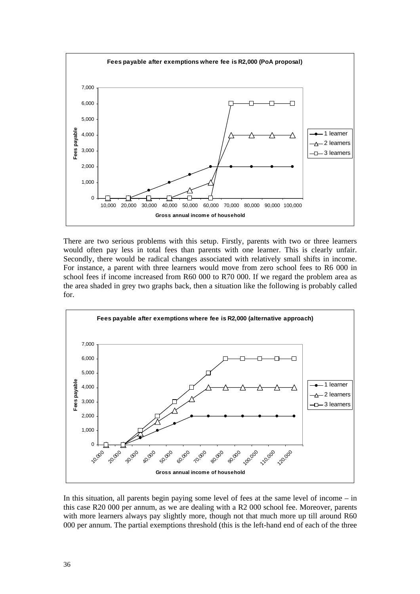

There are two serious problems with this setup. Firstly, parents with two or three learners would often pay less in total fees than parents with one learner. This is clearly unfair. Secondly, there would be radical changes associated with relatively small shifts in income. For instance, a parent with three learners would move from zero school fees to R6 000 in school fees if income increased from R60 000 to R70 000. If we regard the problem area as the area shaded in grey two graphs back, then a situation like the following is probably called for.



In this situation, all parents begin paying some level of fees at the same level of income – in this case R20 000 per annum, as we are dealing with a R2 000 school fee. Moreover, parents with more learners always pay slightly more, though not that much more up till around R60 000 per annum. The partial exemptions threshold (this is the left-hand end of each of the three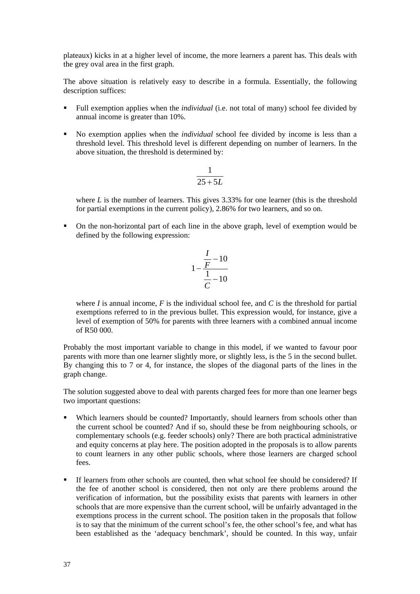plateaux) kicks in at a higher level of income, the more learners a parent has. This deals with the grey oval area in the first graph.

The above situation is relatively easy to describe in a formula. Essentially, the following description suffices:

- Full exemption applies when the *individual* (i.e. not total of many) school fee divided by annual income is greater than 10%.
- No exemption applies when the *individual* school fee divided by income is less than a threshold level. This threshold level is different depending on number of learners. In the above situation, the threshold is determined by:

$$
\frac{1}{25+5L}
$$

where *L* is the number of learners. This gives 3.33% for one learner (this is the threshold for partial exemptions in the current policy), 2.86% for two learners, and so on.

 On the non-horizontal part of each line in the above graph, level of exemption would be defined by the following expression:

$$
1 - \frac{\frac{I}{F} - 10}{\frac{1}{C} - 10}
$$

where *I* is annual income, *F* is the individual school fee, and *C* is the threshold for partial exemptions referred to in the previous bullet. This expression would, for instance, give a level of exemption of 50% for parents with three learners with a combined annual income of R50 000.

Probably the most important variable to change in this model, if we wanted to favour poor parents with more than one learner slightly more, or slightly less, is the 5 in the second bullet. By changing this to 7 or 4, for instance, the slopes of the diagonal parts of the lines in the graph change.

The solution suggested above to deal with parents charged fees for more than one learner begs two important questions:

- Which learners should be counted? Importantly, should learners from schools other than the current school be counted? And if so, should these be from neighbouring schools, or complementary schools (e.g. feeder schools) only? There are both practical administrative and equity concerns at play here. The position adopted in the proposals is to allow parents to count learners in any other public schools, where those learners are charged school fees.
- If learners from other schools are counted, then what school fee should be considered? If the fee of another school is considered, then not only are there problems around the verification of information, but the possibility exists that parents with learners in other schools that are more expensive than the current school, will be unfairly advantaged in the exemptions process in the current school. The position taken in the proposals that follow is to say that the minimum of the current school's fee, the other school's fee, and what has been established as the 'adequacy benchmark', should be counted. In this way, unfair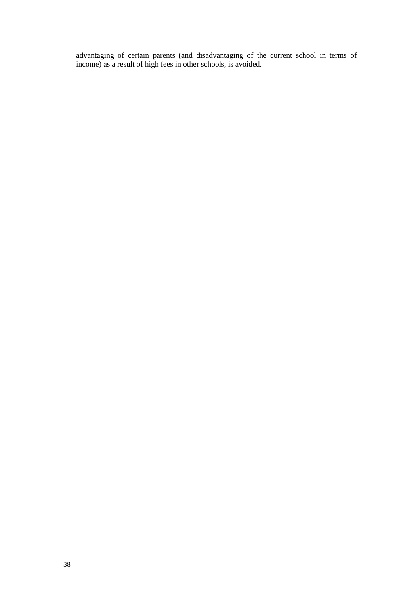advantaging of certain parents (and disadvantaging of the current school in terms of income) as a result of high fees in other schools, is avoided.